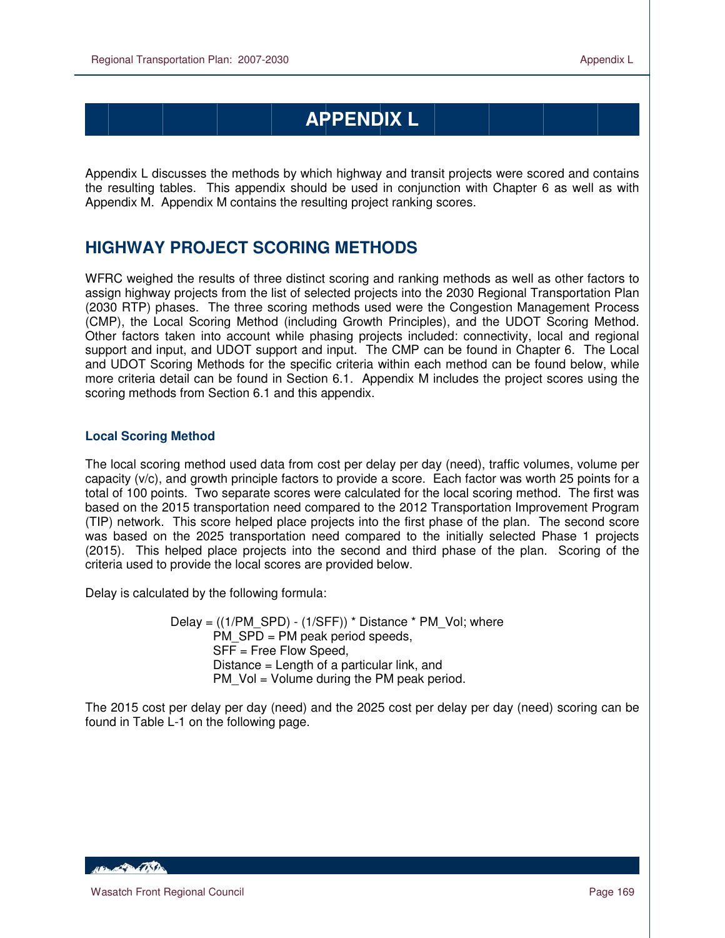# **APPENDIX L**

Appendix L discusses the methods by which highway and transit projects were scored and contains the resulting tables. This appendix should be used in conjunction with Chapter 6 as well as with Appendix M. Appendix M contains the resulting project ranking scores.

# **HIGHWAY PROJECT SCORING METHODS**

WFRC weighed the results of three distinct scoring and ranking methods as well as other factors to assign highway projects from the list of selected projects into the 2030 Regional Transportation Plan (2030 RTP) phases. The three scoring methods used were the Congestion Management Process (CMP), the Local Scoring Method (including Growth Principles), and the UDOT Scoring Method. Other factors taken into account while phasing projects included: connectivity, local and regional support and input, and UDOT support and input. The CMP can be found in Chapter 6. The Local and UDOT Scoring Methods for the specific criteria within each method can be found below, while more criteria detail can be found in Section 6.1. Appendix M includes the project scores using the scoring methods from Section 6.1 and this appendix.

# **Local Scoring Method**

The local scoring method used data from cost per delay per day (need), traffic volumes, volume per capacity (v/c), and growth principle factors to provide a score. Each factor was worth 25 points for a total of 100 points. Two separate scores were calculated for the local scoring method. The first was based on the 2015 transportation need compared to the 2012 Transportation Improvement Program (TIP) network. This score helped place projects into the first phase of the plan. The second score was based on the 2025 transportation need compared to the initially selected Phase 1 projects (2015). This helped place projects into the second and third phase of the plan. Scoring of the criteria used to provide the local scores are provided below.

Delay is calculated by the following formula:

Delay =  $((1/PM$  SPD) -  $(1/SFF))$  \* Distance \* PM Vol; where PM\_SPD = PM peak period speeds, SFF = Free Flow Speed, Distance = Length of a particular link, and PM Vol = Volume during the PM peak period.

The 2015 cost per delay per day (need) and the 2025 cost per delay per day (need) scoring can be found in Table L-1 on the following page.

**ABLACE DE LA CONTENTE**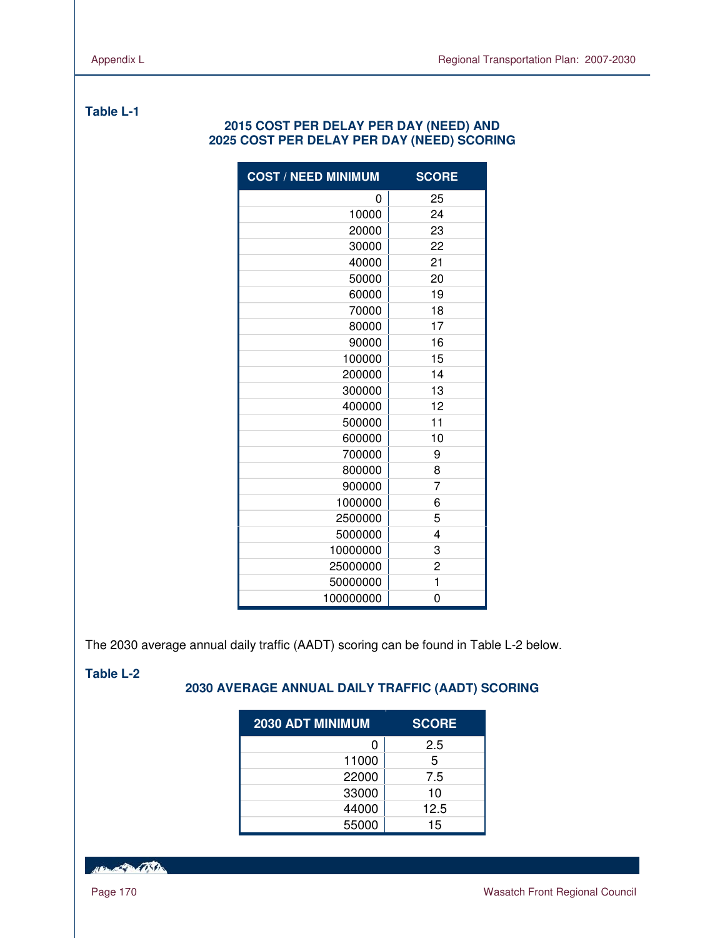# **Table L-1**

# **2015 COST PER DELAY PER DAY (NEED) AND 2025 COST PER DELAY PER DAY (NEED) SCORING**

| <b>COST / NEED MINIMUM</b> | <b>SCORE</b>   |
|----------------------------|----------------|
| 0                          | 25             |
| 10000                      | 24             |
| 20000                      | 23             |
| 30000                      | 22             |
| 40000                      | 21             |
| 50000                      | 20             |
| 60000                      | 19             |
| 70000                      | 18             |
| 80000                      | 17             |
| 90000                      | 16             |
| 100000                     | 15             |
| 200000                     | 14             |
| 300000                     | 13             |
| 400000                     | 12             |
| 500000                     | 11             |
| 600000                     | 10             |
| 700000                     | 9              |
| 800000                     | 8              |
| 900000                     | $\overline{7}$ |
| 1000000                    | 6              |
| 2500000                    | 5              |
| 5000000                    | 4              |
| 10000000                   | 3              |
| 25000000                   | 2              |
| 50000000                   | 1              |
| 100000000                  | 0              |

The 2030 average annual daily traffic (AADT) scoring can be found in Table L-2 below.

 $\mathbb{R}^2$ 

### **Table L-2**

# **2030 AVERAGE ANNUAL DAILY TRAFFIC (AADT) SCORING**

| <b>2030 ADT MINIMUM</b> | <b>SCORE</b> |
|-------------------------|--------------|
| O                       | 2.5          |
| 11000                   | 5            |
| 22000                   | 7.5          |
| 33000                   | 10           |
| 44000                   | 12.5         |
| 55000                   | 15           |

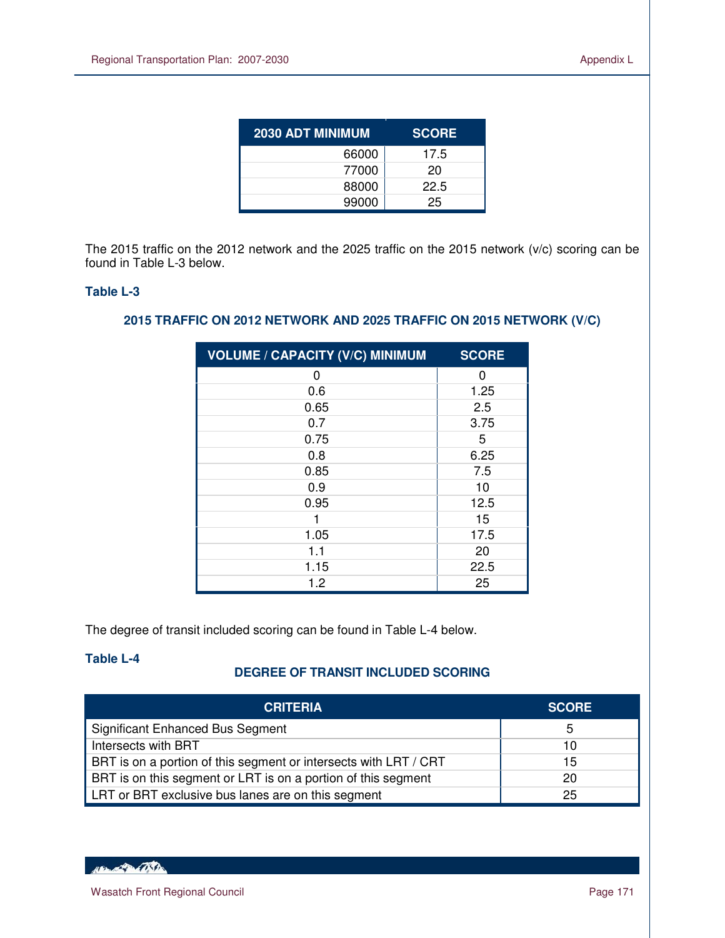| <b>2030 ADT MINIMUM</b> | <b>SCORE</b> |
|-------------------------|--------------|
| 66000                   | 17.5         |
| 77000                   | 20           |
| 88000                   | 22.5         |
| 99000                   | 25           |

The 2015 traffic on the 2012 network and the 2025 traffic on the 2015 network (v/c) scoring can be found in Table L-3 below.

# **Table L-3**

 $\overline{a}$ 

# **2015 TRAFFIC ON 2012 NETWORK AND 2025 TRAFFIC ON 2015 NETWORK (V/C)**

| <b>VOLUME / CAPACITY (V/C) MINIMUM</b> | <b>SCORE</b> |
|----------------------------------------|--------------|
| 0                                      | ∩            |
| 0.6                                    | 1.25         |
| 0.65                                   | 2.5          |
| 0.7                                    | 3.75         |
| 0.75                                   | 5            |
| 0.8                                    | 6.25         |
| 0.85                                   | 7.5          |
| 0.9                                    | 10           |
| 0.95                                   | 12.5         |
|                                        | 15           |
| 1.05                                   | 17.5         |
| 1.1                                    | 20           |
| 1.15                                   | 22.5         |
| 1.2                                    | 25           |

The degree of transit included scoring can be found in Table L-4 below.

# **Table L-4**

# **DEGREE OF TRANSIT INCLUDED SCORING**

| <b>CRITERIA</b>                                                  | <b>SCORE</b> |
|------------------------------------------------------------------|--------------|
| <b>Significant Enhanced Bus Segment</b>                          | b            |
| Intersects with BRT                                              | 10           |
| BRT is on a portion of this segment or intersects with LRT / CRT | 15           |
| BRT is on this segment or LRT is on a portion of this segment    | 20           |
| LRT or BRT exclusive bus lanes are on this segment               | 25           |

16 Branch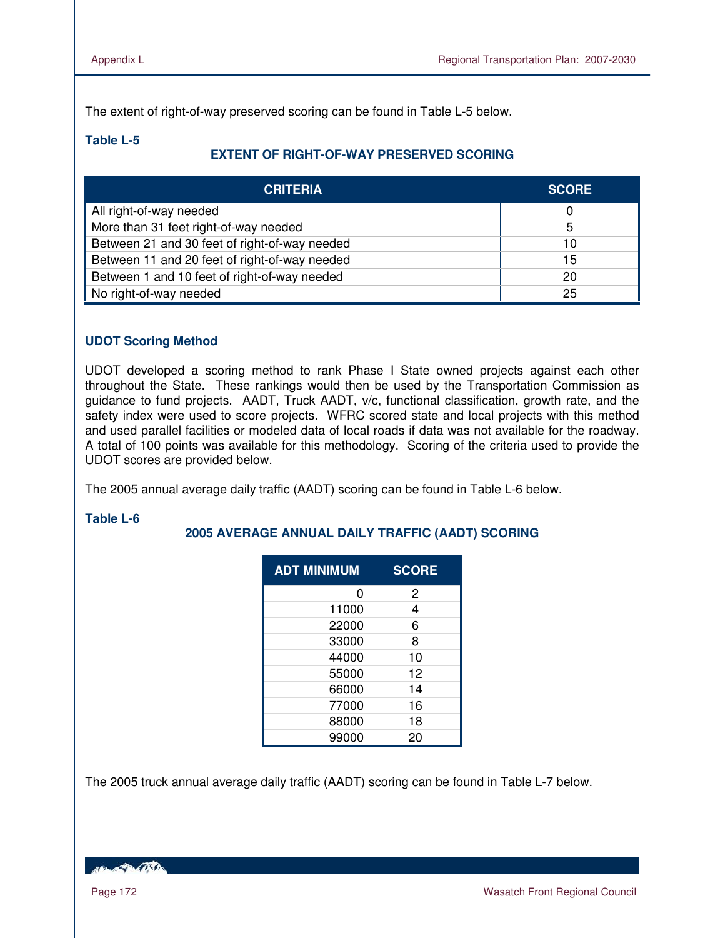The extent of right-of-way preserved scoring can be found in Table L-5 below.

# **Table L-5**

# **EXTENT OF RIGHT-OF-WAY PRESERVED SCORING**

| <b>CRITERIA</b>                                     | <b>SCORE</b> |
|-----------------------------------------------------|--------------|
| All right-of-way needed                             |              |
| More than 31 feet right-of-way needed               | 5            |
| Between 21 and 30 feet of right-of-way needed       | 10           |
| Between 11 and 20 feet of right-of-way needed<br>15 |              |
| Between 1 and 10 feet of right-of-way needed        | 20           |
| No right-of-way needed                              | 25           |

# **UDOT Scoring Method**

UDOT developed a scoring method to rank Phase I State owned projects against each other throughout the State. These rankings would then be used by the Transportation Commission as guidance to fund projects. AADT, Truck AADT, v/c, functional classification, growth rate, and the safety index were used to score projects. WFRC scored state and local projects with this method and used parallel facilities or modeled data of local roads if data was not available for the roadway. A total of 100 points was available for this methodology. Scoring of the criteria used to provide the UDOT scores are provided below.

The 2005 annual average daily traffic (AADT) scoring can be found in Table L-6 below.

### **Table L-6**

# **2005 AVERAGE ANNUAL DAILY TRAFFIC (AADT) SCORING**

| <b>ADT MINIMUM</b> | <b>SCORE</b> |
|--------------------|--------------|
| n                  | 2            |
| 11000              | 4            |
| 22000              | 6            |
| 33000              | 8            |
| 44000              | 10           |
| 55000              | 12           |
| 66000              | 14           |
| 77000              | 16           |
| 88000              | 18           |
| 99000              | 20           |

The 2005 truck annual average daily traffic (AADT) scoring can be found in Table L-7 below.

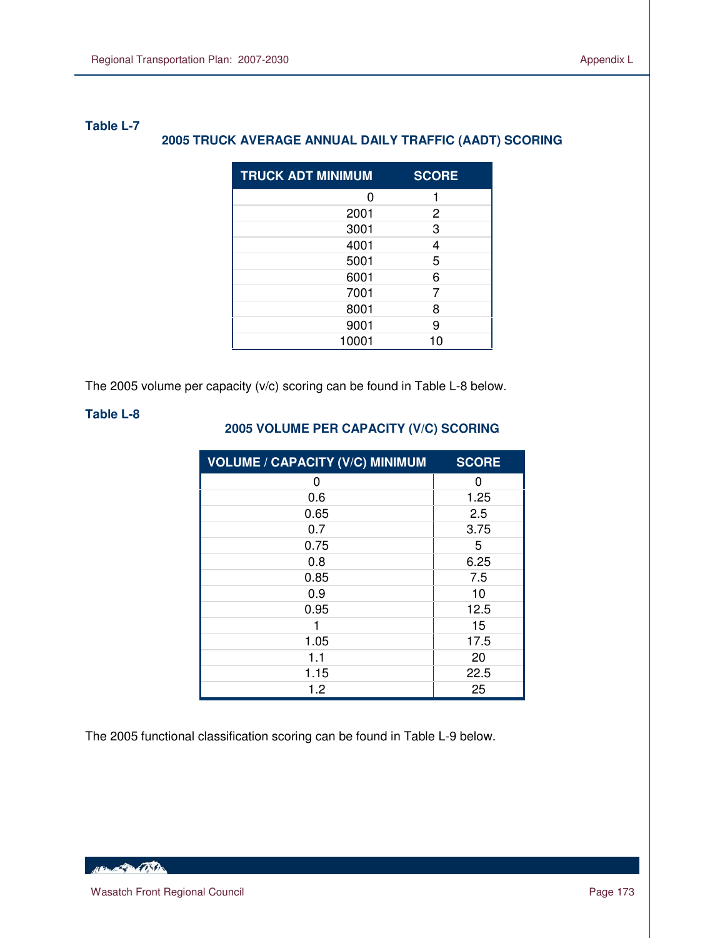# **Table L-7 2005 TRUCK AVERAGE ANNUAL DAILY TRAFFIC (AADT) SCORING**

| <b>TRUCK ADT MINIMUM</b> | <b>SCORE</b> |
|--------------------------|--------------|
| ი                        |              |
| 2001                     | 2            |
| 3001                     | 3            |
| 4001                     | 4            |
| 5001                     | 5            |
| 6001                     | 6            |
| 7001                     |              |
| 8001                     | 8            |
| 9001                     | 9            |
| 10001                    | 10           |

The 2005 volume per capacity (v/c) scoring can be found in Table L-8 below.

# **Table L-8**

 $\overline{a}$ 

# **2005 VOLUME PER CAPACITY (V/C) SCORING**

| <b>VOLUME / CAPACITY (V/C) MINIMUM</b> | <b>SCORE</b> |
|----------------------------------------|--------------|
| 0                                      | U            |
| 0.6                                    | 1.25         |
| 0.65                                   | 2.5          |
| 0.7                                    | 3.75         |
| 0.75                                   | 5            |
| 0.8                                    | 6.25         |
| 0.85                                   | 7.5          |
| 0.9                                    | 10           |
| 0.95                                   | 12.5         |
|                                        | 15           |
| 1.05                                   | 17.5         |
| 1.1                                    | 20           |
| 1.15                                   | 22.5         |
| 1.2                                    | 25           |

The 2005 functional classification scoring can be found in Table L-9 below.

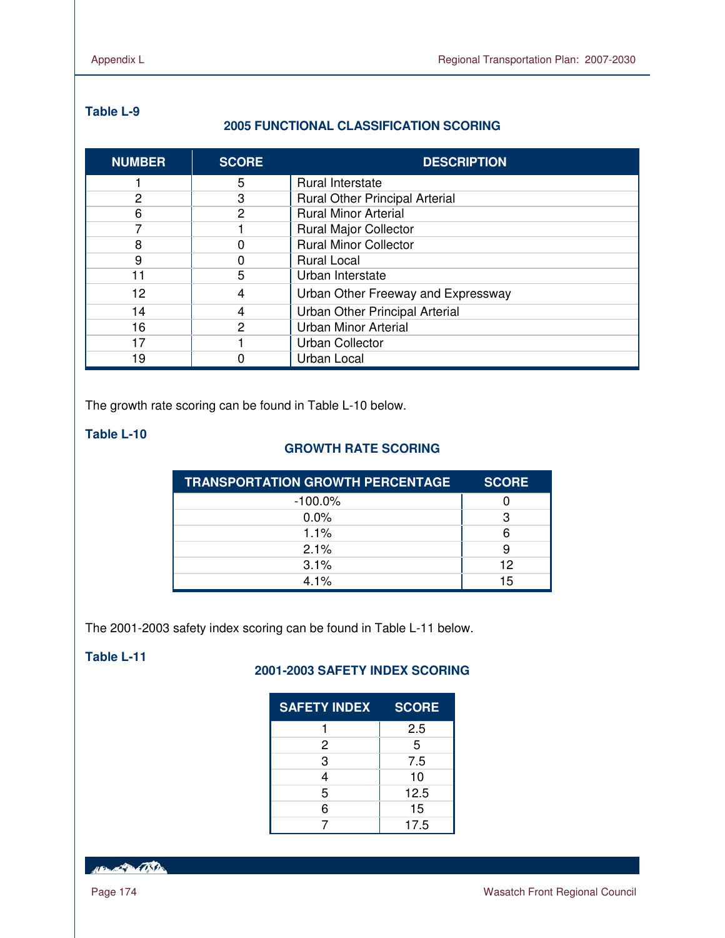# **Table L-9**

# **2005 FUNCTIONAL CLASSIFICATION SCORING**

| <b>NUMBER</b>  | <b>SCORE</b> | <b>DESCRIPTION</b>                    |
|----------------|--------------|---------------------------------------|
|                | 5            | Rural Interstate                      |
| $\overline{c}$ | 3            | <b>Rural Other Principal Arterial</b> |
| 6              | 2            | <b>Rural Minor Arterial</b>           |
|                |              | <b>Rural Major Collector</b>          |
| 8              |              | <b>Rural Minor Collector</b>          |
| 9              |              | <b>Rural Local</b>                    |
| 11             | 5            | Urban Interstate                      |
| 12             | 4            | Urban Other Freeway and Expressway    |
| 14             | 4            | Urban Other Principal Arterial        |
| 16             | 2            | <b>Urban Minor Arterial</b>           |
| 17             |              | <b>Urban Collector</b>                |
| 19             |              | Urban Local                           |

The growth rate scoring can be found in Table L-10 below.

# **Table L-10**

# **GROWTH RATE SCORING**

| <b>TRANSPORTATION GROWTH PERCENTAGE</b> | <b>SCORE</b> |
|-----------------------------------------|--------------|
| $-100.0\%$                              |              |
| $0.0\%$                                 |              |
| 1.1%                                    | 6            |
| 2.1%                                    |              |
| 3.1%                                    | 12           |
| $4.1\%$                                 | 15           |

The 2001-2003 safety index scoring can be found in Table L-11 below.

# **Table L-11**

# **2001-2003 SAFETY INDEX SCORING**

| <b>SAFETY INDEX</b> | <b>SCORE</b> |
|---------------------|--------------|
|                     | 2.5          |
| 2                   | 5            |
| 3                   | 7.5          |
| 4                   | 10           |
| 5                   | 12.5         |
| 6                   | 15           |
|                     | 17.5         |

HELL CONTRACTOR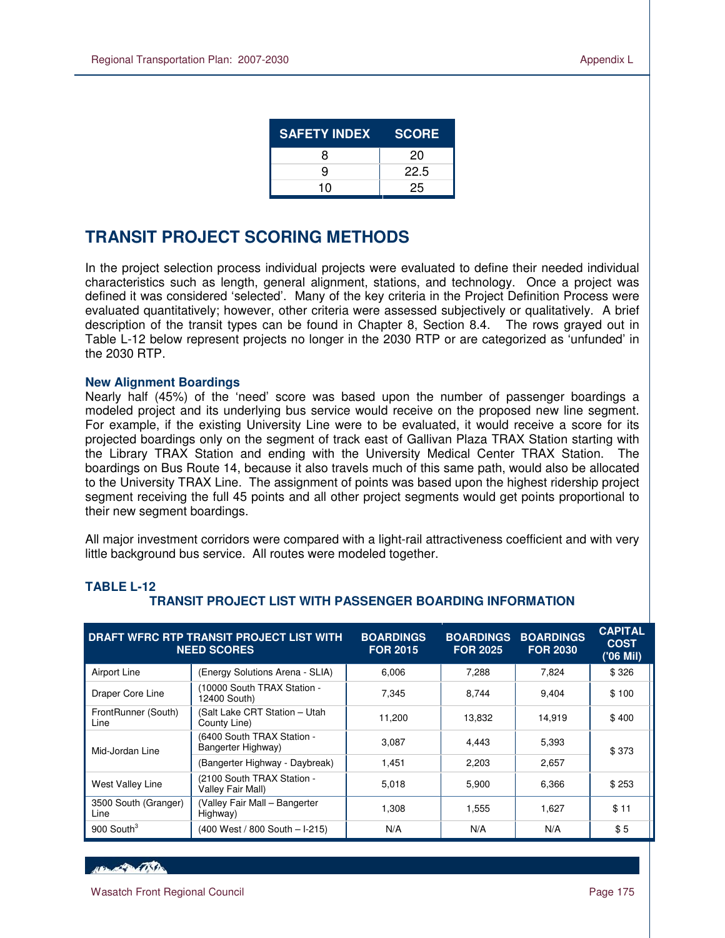| <b>SAFETY INDEX</b> | <b>SCORE</b> |
|---------------------|--------------|
| R                   | 20           |
| g                   | 22.5         |
| 10                  | 25           |

# **TRANSIT PROJECT SCORING METHODS**

In the project selection process individual projects were evaluated to define their needed individual characteristics such as length, general alignment, stations, and technology. Once a project was defined it was considered 'selected'. Many of the key criteria in the Project Definition Process were evaluated quantitatively; however, other criteria were assessed subjectively or qualitatively. A brief description of the transit types can be found in Chapter 8, Section 8.4. The rows grayed out in Table L-12 below represent projects no longer in the 2030 RTP or are categorized as 'unfunded' in the 2030 RTP.

### **New Alignment Boardings**

Nearly half (45%) of the 'need' score was based upon the number of passenger boardings a modeled project and its underlying bus service would receive on the proposed new line segment. For example, if the existing University Line were to be evaluated, it would receive a score for its projected boardings only on the segment of track east of Gallivan Plaza TRAX Station starting with the Library TRAX Station and ending with the University Medical Center TRAX Station. The boardings on Bus Route 14, because it also travels much of this same path, would also be allocated to the University TRAX Line. The assignment of points was based upon the highest ridership project segment receiving the full 45 points and all other project segments would get points proportional to their new segment boardings.

All major investment corridors were compared with a light-rail attractiveness coefficient and with very little background bus service. All routes were modeled together.

| DRAFT WFRC RTP TRANSIT PROJECT LIST WITH<br><b>NEED SCORES</b>      |                                                  | <b>BOARDINGS</b><br><b>FOR 2015</b> | <b>BOARDINGS</b><br><b>FOR 2025</b> | <b>BOARDINGS</b><br><b>FOR 2030</b> | <b>CAPITAL</b><br><b>COST</b><br>('06 Mil) |
|---------------------------------------------------------------------|--------------------------------------------------|-------------------------------------|-------------------------------------|-------------------------------------|--------------------------------------------|
| Airport Line                                                        | (Energy Solutions Arena - SLIA)                  | 6.006                               | 7,288                               | 7.824                               | \$326                                      |
| Draper Core Line                                                    | (10000 South TRAX Station -<br>12400 South)      |                                     | 8,744                               | 9,404                               | \$100                                      |
| FrontRunner (South)<br>Line                                         | (Salt Lake CRT Station - Utah<br>County Line)    | 11,200                              | 13,832                              | 14,919                              | \$400                                      |
| Mid-Jordan Line                                                     | (6400 South TRAX Station -<br>Bangerter Highway) | 3.087                               | 4.443                               | 5,393                               | \$373                                      |
|                                                                     | (Bangerter Highway - Daybreak)                   | 1,451                               | 2,203                               | 2,657                               |                                            |
| (2100 South TRAX Station -<br>West Valley Line<br>Valley Fair Mall) |                                                  | 5.018                               | 5.900                               | 6,366                               | \$253                                      |
| 3500 South (Granger)<br>Line                                        | (Valley Fair Mall - Bangerter<br>Highway)        | 1.308                               | 1,555                               | 1.627                               | \$11                                       |
| 900 South <sup>3</sup>                                              | (400 West / 800 South - I-215)                   | N/A                                 | N/A                                 | N/A                                 | \$5                                        |

# **TRANSIT PROJECT LIST WITH PASSENGER BOARDING INFORMATION**

**TABLE L-12** 

HELL CONTRACTOR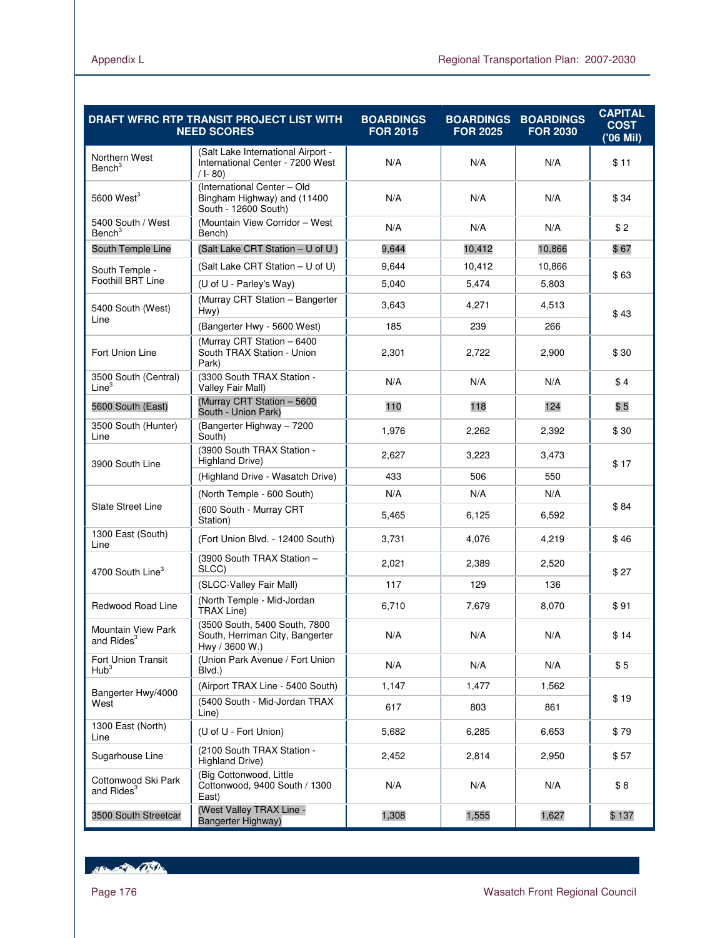|                                                     | DRAFT WFRC RTP TRANSIT PROJECT LIST WITH<br><b>NEED SCORES</b>                     | <b>BOARDINGS</b><br><b>FOR 2015</b> | <b>BOARDINGS</b><br><b>FOR 2025</b> | <b>BOARDINGS</b><br><b>FOR 2030</b> | <b>CAPITAL</b><br><b>COST</b><br>('06 Mil) |  |
|-----------------------------------------------------|------------------------------------------------------------------------------------|-------------------------------------|-------------------------------------|-------------------------------------|--------------------------------------------|--|
| Northern West<br>Bench <sup>3</sup>                 | (Salt Lake International Airport -<br>International Center - 7200 West<br>/ I-80)  | N/A                                 | N/A                                 | N/A                                 | \$11                                       |  |
| 5600 West $3$                                       | (International Center - Old<br>Bingham Highway) and (11400<br>South - 12600 South) | N/A                                 | N/A                                 | N/A                                 | \$34                                       |  |
| 5400 South / West<br>Bench <sup>3</sup>             | (Mountain View Corridor - West<br>Bench)                                           | N/A                                 | N/A                                 | N/A                                 | \$2                                        |  |
| South Temple Line                                   | (Salt Lake CRT Station - U of U)                                                   | 9,644                               | 10,412                              | 10,866                              | \$67                                       |  |
| South Temple -                                      | (Salt Lake CRT Station - U of U)                                                   | 9,644                               | 10,412                              | 10.866                              |                                            |  |
| Foothill BRT Line                                   | (U of U - Parley's Way)                                                            | 5,040                               | 5,474                               | 5,803                               | \$63                                       |  |
| 5400 South (West)                                   | (Murray CRT Station - Bangerter<br>Hwy)                                            | 3,643                               | 4,271                               | 4,513                               | \$43                                       |  |
| Line                                                | (Bangerter Hwy - 5600 West)                                                        | 185                                 | 239                                 | 266                                 |                                            |  |
| Fort Union Line                                     | (Murray CRT Station - 6400<br>South TRAX Station - Union<br>Park)                  | 2,301                               | 2,722                               | 2,900                               | \$30                                       |  |
| 3500 South (Central)<br>Line <sup>3</sup>           | (3300 South TRAX Station -<br>Valley Fair Mall)                                    | N/A                                 | N/A                                 | N/A                                 | \$4                                        |  |
| 5600 South (East)                                   | (Murray CRT Station - 5600<br>South - Union Park)                                  | 110                                 | 118                                 | 124                                 | \$5                                        |  |
| 3500 South (Hunter)<br>Line                         | (Bangerter Highway - 7200<br>South)                                                | 1,976                               | 2,262                               | 2,392                               | \$30                                       |  |
| 3900 South Line                                     | (3900 South TRAX Station -<br>Highland Drive)                                      | 2,627                               | 3,223                               | 3,473                               | \$17                                       |  |
|                                                     | (Highland Drive - Wasatch Drive)                                                   | 433                                 | 506                                 | 550                                 |                                            |  |
|                                                     | (North Temple - 600 South)                                                         | N/A                                 | N/A                                 | N/A                                 |                                            |  |
| <b>State Street Line</b>                            | (600 South - Murray CRT<br>Station)                                                | 5,465                               | 6,125                               | 6,592                               | \$84                                       |  |
| 1300 East (South)<br>Line                           | (Fort Union Blvd. - 12400 South)                                                   | 3,731                               | 4,076                               | 4,219                               | \$46                                       |  |
| 4700 South Line <sup>3</sup>                        | (3900 South TRAX Station -<br>SLCC)                                                | 2,021                               | 2,389                               | 2,520                               | \$27                                       |  |
|                                                     | (SLCC-Valley Fair Mall)                                                            | 117                                 | 129                                 | 136                                 |                                            |  |
| Redwood Road Line                                   | (North Temple - Mid-Jordan<br><b>TRAX Line)</b>                                    | 6,710                               | 7,679                               | 8,070                               | \$91                                       |  |
| <b>Mountain View Park</b><br>and Rides <sup>3</sup> | (3500 South, 5400 South, 7800<br>South, Herriman City, Bangerter<br>Hwy / 3600 W.) | N/A                                 | N/A                                 | N/A                                 | \$14                                       |  |
| Fort Union Transit<br>Hub <sup>3</sup>              | (Union Park Avenue / Fort Union<br>Blvd.)                                          | N/A                                 | N/A                                 | N/A                                 | \$5                                        |  |
| Bangerter Hwy/4000                                  | (Airport TRAX Line - 5400 South)                                                   | 1,147                               | 1,477                               | 1,562                               |                                            |  |
| West                                                | (5400 South - Mid-Jordan TRAX<br>Line)                                             | 617                                 | 803                                 | 861                                 | \$19                                       |  |
| 1300 East (North)<br>Line                           | (U of U - Fort Union)                                                              | 5,682                               | 6,285                               | 6,653                               | \$79                                       |  |
| Sugarhouse Line                                     | (2100 South TRAX Station -<br>Highland Drive)                                      | 2,452                               | 2,814                               | 2,950                               | \$57                                       |  |
| Cottonwood Ski Park<br>and Rides <sup>3</sup>       | (Big Cottonwood, Little<br>Cottonwood, 9400 South / 1300<br>East)                  | N/A                                 | N/A                                 | N/A                                 | \$8                                        |  |
| 3500 South Streetcar                                | (West Valley TRAX Line -<br>Bangerter Highway)                                     | 1,308                               | 1,555                               | 1,627                               | \$137                                      |  |

Hampton College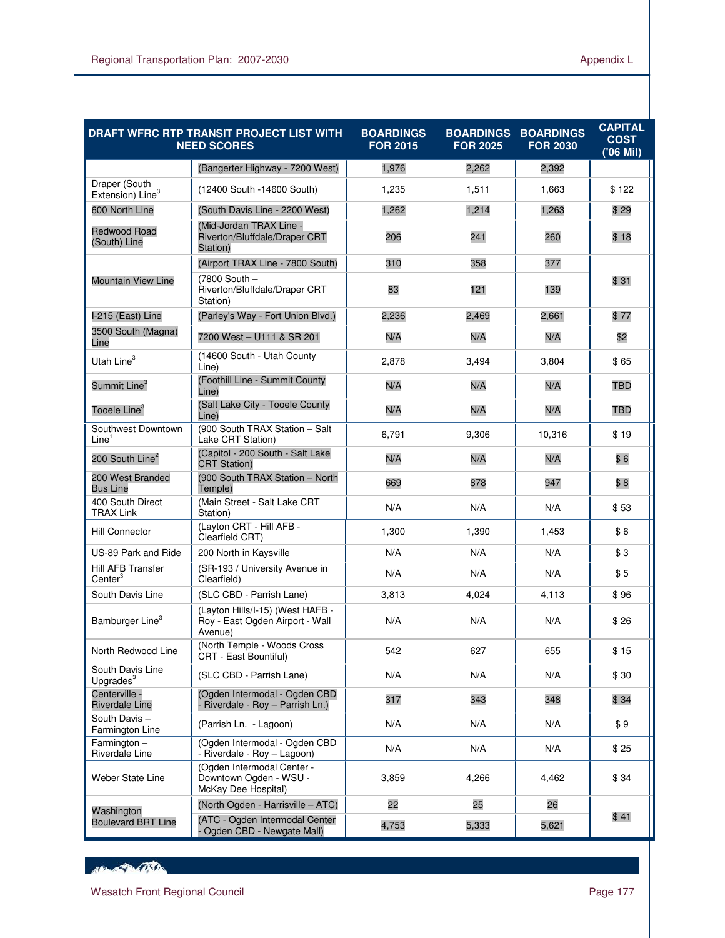|                                               | DRAFT WFRC RTP TRANSIT PROJECT LIST WITH<br><b>NEED SCORES</b>                 | <b>BOARDINGS</b><br><b>FOR 2015</b> | <b>BOARDINGS</b><br><b>FOR 2025</b> | <b>BOARDINGS</b><br><b>FOR 2030</b> | <b>CAPITAL</b><br><b>COST</b><br>('06 Mil) |
|-----------------------------------------------|--------------------------------------------------------------------------------|-------------------------------------|-------------------------------------|-------------------------------------|--------------------------------------------|
|                                               | (Bangerter Highway - 7200 West)                                                | 1,976                               | 2,262                               | 2,392                               |                                            |
| Draper (South<br>Extension) Line <sup>3</sup> | (12400 South -14600 South)                                                     | 1,235                               | 1,511                               | 1,663                               | \$122                                      |
| 600 North Line                                | (South Davis Line - 2200 West)                                                 | 1,262                               | 1,214                               | 1,263                               | \$29                                       |
| <b>Redwood Road</b><br>(South) Line           | (Mid-Jordan TRAX Line -<br>Riverton/Bluffdale/Draper CRT<br>Station)           | 206                                 | 241                                 | 260                                 | \$18                                       |
|                                               | (Airport TRAX Line - 7800 South)                                               | 310                                 | 358                                 | 377                                 |                                            |
| <b>Mountain View Line</b>                     | (7800 South -<br>Riverton/Bluffdale/Draper CRT<br>Station)                     | 83                                  | 121                                 | 139                                 | \$31                                       |
| I-215 (East) Line                             | (Parley's Way - Fort Union Blvd.)                                              | 2,236                               | 2,469                               | 2,661                               | \$77                                       |
| 3500 South (Magna)<br>Line                    | 7200 West - U111 & SR 201                                                      | N/A                                 | N/A                                 | N/A                                 | \$2                                        |
| Utah Line $3$                                 | (14600 South - Utah County<br>Line)                                            | 2,878                               | 3,494                               | 3,804                               | \$65                                       |
| Summit Line <sup>3</sup>                      | (Foothill Line - Summit County<br>Line)                                        | N/A                                 | N/A                                 | N/A                                 | TBD                                        |
| Tooele Line <sup>3</sup>                      | (Salt Lake City - Tooele County<br>Line)                                       | N/A                                 | N/A                                 | N/A                                 | <b>TBD</b>                                 |
| Southwest Downtown<br>Line <sup>1</sup>       | (900 South TRAX Station - Salt<br>Lake CRT Station)                            | 6,791                               | 9,306                               | 10,316                              | \$19                                       |
| 200 South Line <sup>2</sup>                   | (Capitol - 200 South - Salt Lake<br><b>CRT Station)</b>                        | N/A                                 | N/A                                 | N/A                                 | \$6                                        |
| 200 West Branded<br><b>Bus Line</b>           | (900 South TRAX Station - North<br>Temple)                                     | 669                                 | 878                                 | 947                                 | \$8                                        |
| 400 South Direct<br><b>TRAX Link</b>          | (Main Street - Salt Lake CRT<br>Station)                                       | N/A                                 | N/A                                 | N/A                                 | \$53                                       |
| <b>Hill Connector</b>                         | (Layton CRT - Hill AFB -<br>Clearfield CRT)                                    | 1,300                               | 1,390                               | 1,453                               | \$6                                        |
| US-89 Park and Ride                           | 200 North in Kaysville                                                         | N/A                                 | N/A                                 | N/A                                 | \$3                                        |
| Hill AFB Transfer<br>Center <sup>3</sup>      | (SR-193 / University Avenue in<br>Clearfield)                                  | N/A                                 | N/A                                 | N/A                                 | \$5                                        |
| South Davis Line                              | (SLC CBD - Parrish Lane)                                                       | 3,813                               | 4,024                               | 4,113                               | \$96                                       |
| Bamburger Line <sup>3</sup>                   | (Layton Hills/I-15) (West HAFB -<br>Roy - East Ogden Airport - Wall<br>Avenue) | N/A                                 | N/A                                 | N/A                                 | \$26                                       |
| North Redwood Line                            | (North Temple - Woods Cross<br>CRT - East Bountiful)                           | 542                                 | 627                                 | 655                                 | \$15                                       |
| South Davis Line<br>Upgrades <sup>3</sup>     | (SLC CBD - Parrish Lane)                                                       | N/A                                 | N/A                                 | N/A                                 | \$30                                       |
| Centerville -<br><b>Riverdale Line</b>        | (Ogden Intermodal - Ogden CBD<br>- Riverdale - Roy - Parrish Ln.)              | 317                                 | 343                                 | 348                                 | \$34                                       |
| South Davis-<br>Farmington Line               | (Parrish Ln. - Lagoon)                                                         | N/A                                 | N/A                                 | N/A                                 | \$9                                        |
| $Farmington -$<br>Riverdale Line              | (Ogden Intermodal - Ogden CBD<br>- Riverdale - Roy - Lagoon)                   | N/A                                 | N/A                                 | N/A                                 | \$25                                       |
| Weber State Line                              | (Ogden Intermodal Center -<br>Downtown Ogden - WSU -<br>McKay Dee Hospital)    | 3,859                               | 4,266                               | 4,462                               | \$34                                       |
| Washington                                    | (North Ogden - Harrisville - ATC)                                              | 22                                  | 25                                  | 26                                  |                                            |
| <b>Boulevard BRT Line</b>                     | (ATC - Ogden Intermodal Center<br>Ogden CBD - Newgate Mall)                    | 4,753                               | 5,333                               | 5,621                               | \$41                                       |

How of the Contractor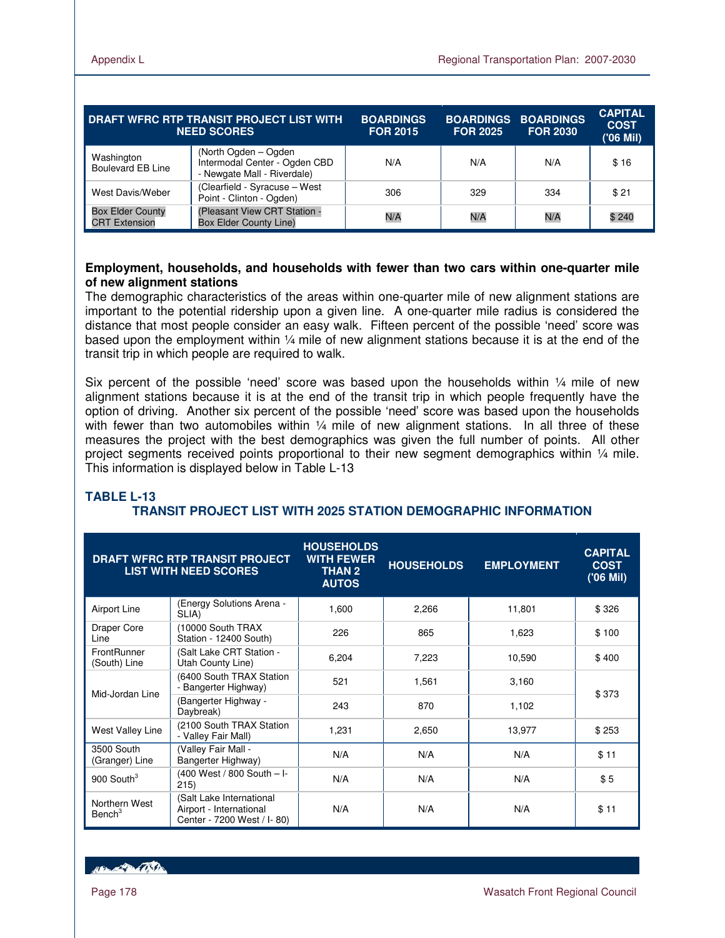| DRAFT WFRC RTP TRANSIT PROJECT LIST WITH<br><b>NEED SCORES</b> |                                                                                       | <b>BOARDINGS</b><br><b>FOR 2015</b> | <b>FOR 2025</b> | <b>BOARDINGS BOARDINGS</b><br><b>FOR 2030</b> | <b>CAPITAL</b><br><b>COST</b><br>('06 Mil) |
|----------------------------------------------------------------|---------------------------------------------------------------------------------------|-------------------------------------|-----------------|-----------------------------------------------|--------------------------------------------|
| Washington<br><b>Boulevard EB Line</b>                         | (North Ogden - Ogden)<br>Intermodal Center - Ogden CBD<br>- Newgate Mall - Riverdale) | N/A                                 | N/A             | N/A                                           | \$16                                       |
| West Davis/Weber                                               | (Clearfield - Syracuse - West<br>Point - Clinton - Ogden)                             | 306                                 | 329             | 334                                           | \$21                                       |
| <b>Box Elder County</b><br><b>CRT Extension</b>                | (Pleasant View CRT Station -<br><b>Box Elder County Line)</b>                         | N/A                                 | N/A             | N/A                                           | \$240                                      |

### **Employment, households, and households with fewer than two cars within one-quarter mile of new alignment stations**

The demographic characteristics of the areas within one-quarter mile of new alignment stations are important to the potential ridership upon a given line. A one-quarter mile radius is considered the distance that most people consider an easy walk. Fifteen percent of the possible 'need' score was based upon the employment within ¼ mile of new alignment stations because it is at the end of the transit trip in which people are required to walk.

Six percent of the possible 'need' score was based upon the households within  $\frac{1}{4}$  mile of new alignment stations because it is at the end of the transit trip in which people frequently have the option of driving. Another six percent of the possible 'need' score was based upon the households with fewer than two automobiles within  $\frac{1}{4}$  mile of new alignment stations. In all three of these measures the project with the best demographics was given the full number of points. All other project segments received points proportional to their new segment demographics within 1/4 mile. This information is displayed below in Table L-13

### **TABLE L-13**

# **TRANSIT PROJECT LIST WITH 2025 STATION DEMOGRAPHIC INFORMATION**

|                                     | <b>DRAFT WFRC RTP TRANSIT PROJECT</b><br><b>LIST WITH NEED SCORES</b>             | <b>HOUSEHOLDS</b><br><b>WITH FEWER</b><br><b>THAN 2</b><br><b>AUTOS</b> | <b>HOUSEHOLDS</b> | <b>EMPLOYMENT</b> | <b>CAPITAL</b><br><b>COST</b><br>('06 Mil) |
|-------------------------------------|-----------------------------------------------------------------------------------|-------------------------------------------------------------------------|-------------------|-------------------|--------------------------------------------|
| Airport Line                        | (Energy Solutions Arena -<br>SLIA)                                                | 1,600                                                                   | 2,266             | 11,801            | \$326                                      |
| Draper Core<br>Line                 | (10000 South TRAX<br>Station - 12400 South)                                       | 226                                                                     | 865               | 1,623             | \$100                                      |
| <b>FrontRunner</b><br>(South) Line  | Salt Lake CRT Station -<br>Utah County Line)                                      | 6,204                                                                   | 7,223             | 10,590            | \$400                                      |
|                                     | (6400 South TRAX Station<br>- Bangerter Highway)                                  | 521                                                                     | 1,561             | 3,160             | \$373                                      |
| Mid-Jordan Line                     | <b>Bangerter Highway -</b><br>Daybreak)                                           | 243                                                                     | 870               | 1,102             |                                            |
| West Valley Line                    | (2100 South TRAX Station<br>- Valley Fair Mall)                                   | 1,231                                                                   | 2,650             | 13,977            | \$253                                      |
| 3500 South<br>(Granger) Line        | Valley Fair Mall -<br>Bangerter Highway)                                          | N/A                                                                     | N/A               | N/A               | \$11                                       |
| 900 South $3$                       | (400 West / 800 South – I-<br>215)                                                | N/A                                                                     | N/A               | N/A               | \$5                                        |
| Northern West<br>Bench <sup>3</sup> | (Salt Lake International<br>Airport - International<br>Center - 7200 West / I-80) | N/A                                                                     | N/A               | N/A               | \$11                                       |

**ARACTER COSTA**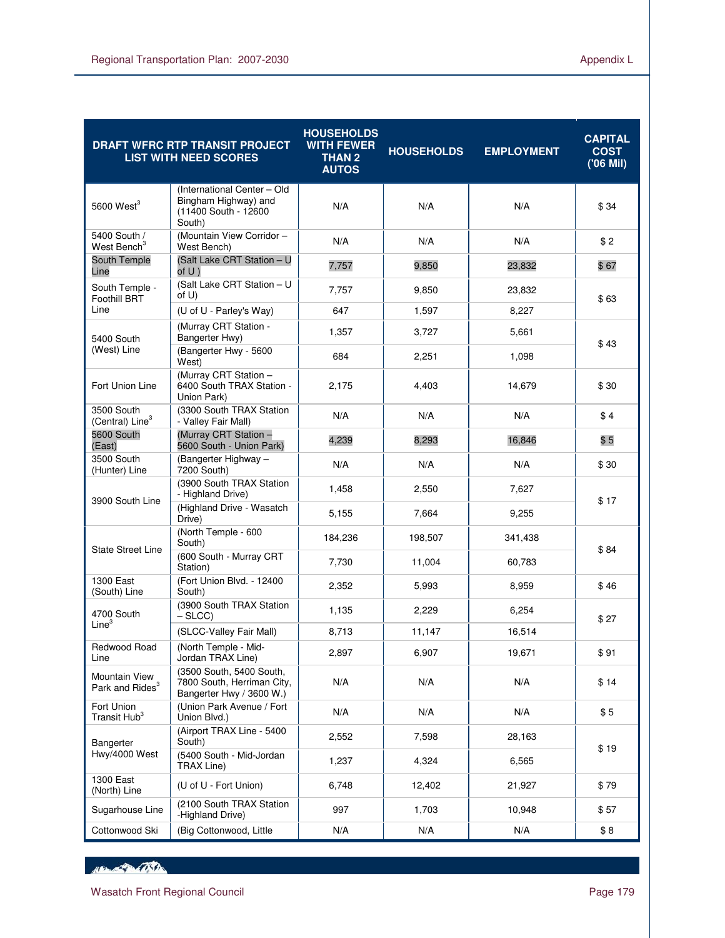|                                              | <b>DRAFT WFRC RTP TRANSIT PROJECT</b><br><b>LIST WITH NEED SCORES</b>                 | <b>HOUSEHOLDS</b><br><b>WITH FEWER</b><br><b>THAN 2</b><br><b>AUTOS</b> | <b>HOUSEHOLDS</b> | <b>EMPLOYMENT</b> | <b>CAPITAL</b><br><b>COST</b><br>('06 Mil) |
|----------------------------------------------|---------------------------------------------------------------------------------------|-------------------------------------------------------------------------|-------------------|-------------------|--------------------------------------------|
| $5600$ West <sup>3</sup>                     | (International Center - Old<br>Bingham Highway) and<br>(11400 South - 12600<br>South) | N/A                                                                     | N/A               | N/A               | \$34                                       |
| 5400 South /<br>West Bench <sup>3</sup>      | (Mountain View Corridor -<br>West Bench)                                              | N/A                                                                     | N/A               | N/A               | \$2                                        |
| South Temple<br>Line                         | (Salt Lake CRT Station - U<br>of U)                                                   | 7,757                                                                   | 9,850             | 23,832            | \$67                                       |
| South Temple -<br>Foothill BRT               | (Salt Lake CRT Station - U<br>of U)                                                   | 7,757                                                                   | 9,850             | 23,832            | \$63                                       |
| Line                                         | (U of U - Parley's Way)                                                               | 647                                                                     | 1,597             | 8,227             |                                            |
| 5400 South                                   | (Murray CRT Station -<br>Bangerter Hwy)                                               | 1,357                                                                   | 3,727             | 5,661             | \$43                                       |
| (West) Line                                  | (Bangerter Hwy - 5600<br>West)                                                        | 684                                                                     | 2,251             | 1,098             |                                            |
| Fort Union Line                              | (Murray CRT Station -<br>6400 South TRAX Station -<br>Union Park)                     | 2,175                                                                   | 4,403             | 14,679            | \$30                                       |
| 3500 South<br>(Central) Line <sup>3</sup>    | (3300 South TRAX Station<br>- Valley Fair Mall)                                       | N/A                                                                     | N/A               | N/A               | \$4                                        |
| 5600 South<br>(East)                         | (Murray CRT Station -<br>5600 South - Union Park)                                     | 4,239                                                                   | 8,293             | 16,846            | \$5                                        |
| 3500 South<br>(Hunter) Line                  | (Bangerter Highway -<br>7200 South)                                                   | N/A                                                                     | N/A               | N/A               | \$30                                       |
| 3900 South Line                              | (3900 South TRAX Station<br>- Highland Drive)                                         | 1,458                                                                   | 2,550             | 7,627             | \$17                                       |
|                                              | (Highland Drive - Wasatch<br>Drive)                                                   | 5,155                                                                   | 7,664             | 9,255             |                                            |
| <b>State Street Line</b>                     | (North Temple - 600<br>South)                                                         | 184,236                                                                 | 198,507           | 341,438           | \$84                                       |
|                                              | (600 South - Murray CRT<br>Station)                                                   | 7,730                                                                   | 11,004            | 60,783            |                                            |
| 1300 East<br>(South) Line                    | (Fort Union Blvd. - 12400<br>South)                                                   | 2,352                                                                   | 5,993             | 8,959             | \$46                                       |
| 4700 South<br>Line <sup>3</sup>              | (3900 South TRAX Station<br>$-$ SLCC $)$                                              | 1,135                                                                   | 2,229             | 6,254             | \$27                                       |
|                                              | (SLCC-Valley Fair Mall)                                                               | 8,713                                                                   | 11,147            | 16,514            |                                            |
| Redwood Road<br>Line                         | (North Temple - Mid-<br>Jordan TRAX Line)                                             | 2,897                                                                   | 6,907             | 19,671            | \$91                                       |
| Mountain View<br>Park and Rides <sup>3</sup> | (3500 South, 5400 South,<br>7800 South, Herriman City,<br>Bangerter Hwy / 3600 W.)    | N/A                                                                     | N/A               | N/A               | \$14                                       |
| Fort Union<br>Transit Hub <sup>3</sup>       | (Union Park Avenue / Fort<br>Union Blvd.)                                             | N/A                                                                     | N/A               | N/A               | \$5                                        |
| Bangerter                                    | (Airport TRAX Line - 5400<br>South)                                                   | 2,552                                                                   | 7,598             | 28,163            |                                            |
| Hwy/4000 West                                | (5400 South - Mid-Jordan<br>TRAX Line)                                                | 1,237                                                                   | 4,324             | 6,565             | \$19                                       |
| 1300 East<br>(North) Line                    | (U of U - Fort Union)                                                                 | 6,748                                                                   | 12,402            | 21,927            | \$79                                       |
| Sugarhouse Line                              | (2100 South TRAX Station<br>-Highland Drive)                                          | 997                                                                     | 1,703             | 10,948            | \$57                                       |
| Cottonwood Ski                               | (Big Cottonwood, Little                                                               | N/A                                                                     | N/A               | N/A               | \$8                                        |

Henry Part Office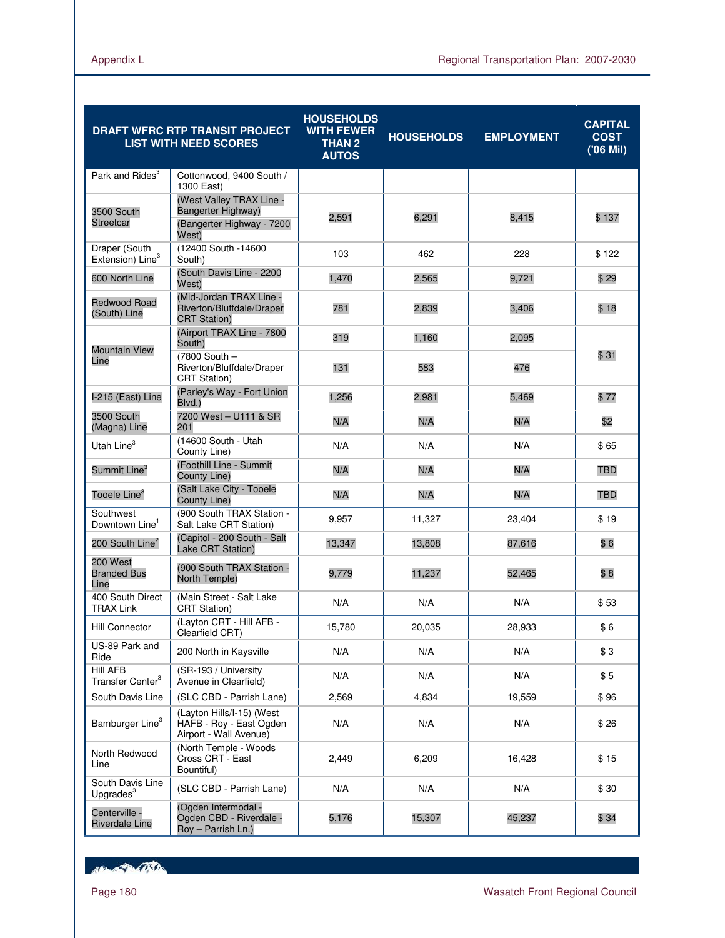|                                                 | <b>DRAFT WFRC RTP TRANSIT PROJECT</b><br><b>LIST WITH NEED SCORES</b>                | <b>HOUSEHOLDS</b><br><b>WITH FEWER</b><br><b>THAN 2</b><br><b>AUTOS</b> | <b>HOUSEHOLDS</b> | <b>EMPLOYMENT</b> | <b>CAPITAL</b><br><b>COST</b><br>('06 Mil) |
|-------------------------------------------------|--------------------------------------------------------------------------------------|-------------------------------------------------------------------------|-------------------|-------------------|--------------------------------------------|
| Park and Rides <sup>3</sup>                     | Cottonwood, 9400 South /<br>1300 East)                                               |                                                                         |                   |                   |                                            |
| 3500 South<br><b>Streetcar</b>                  | (West Valley TRAX Line -<br>Bangerter Highway)<br>(Bangerter Highway - 7200<br>West) | 2,591                                                                   | 6,291             | 8,415             | \$ 137                                     |
| Draper (South<br>Extension) Line <sup>3</sup>   | (12400 South -14600<br>South)                                                        | 103                                                                     | 462               | 228               | \$122                                      |
| 600 North Line                                  | (South Davis Line - 2200<br>West)                                                    | 1,470                                                                   | 2,565             | 9,721             | \$29                                       |
| <b>Redwood Road</b><br>(South) Line             | (Mid-Jordan TRAX Line -<br>Riverton/Bluffdale/Draper<br><b>CRT Station)</b>          | 781                                                                     | 2,839             | 3,406             | \$18                                       |
|                                                 | (Airport TRAX Line - 7800<br>South)                                                  | 319                                                                     | 1,160             | 2,095             |                                            |
| <b>Mountain View</b><br>Line                    | (7800 South -<br>Riverton/Bluffdale/Draper<br><b>CRT Station)</b>                    | 131                                                                     | 583               | 476               | \$31                                       |
| I-215 (East) Line                               | (Parley's Way - Fort Union<br>Blvd.)                                                 | 1,256                                                                   | 2.981             | 5,469             | \$77                                       |
| 3500 South<br>(Magna) Line                      | 7200 West - U111 & SR<br>201                                                         | N/A                                                                     | N/A               | N/A               | \$2                                        |
| Utah Line <sup>3</sup>                          | (14600 South - Utah<br>County Line)                                                  | N/A                                                                     | N/A               | N/A               | \$65                                       |
| Summit Line <sup>3</sup>                        | (Foothill Line - Summit<br>County Line)                                              | N/A                                                                     | N/A               | N/A               | TBD                                        |
| Tooele Line <sup>3</sup>                        | (Salt Lake City - Tooele<br>County Line)                                             | N/A                                                                     | N/A               | N/A               | <b>TBD</b>                                 |
| Southwest<br>Downtown Line'                     | (900 South TRAX Station -<br>Salt Lake CRT Station)                                  | 9,957                                                                   | 11,327            | 23,404            | \$19                                       |
| 200 South Line <sup>2</sup>                     | (Capitol - 200 South - Salt<br>Lake CRT Station)                                     | 13,347                                                                  | 13,808            | 87,616            | \$6                                        |
| 200 West<br><b>Branded Bus</b><br>Line          | (900 South TRAX Station -<br>North Temple)                                           | 9,779                                                                   | 11,237            | 52,465            | \$8                                        |
| 400 South Direct<br>TRAX Link                   | (Main Street - Salt Lake<br><b>CRT Station)</b>                                      | N/A                                                                     | N/A               | N/A               | \$53                                       |
| <b>Hill Connector</b>                           | (Layton CRT - Hill AFB -<br>Clearfield CRT)                                          | 15,780                                                                  | 20,035            | 28,933            | \$6                                        |
| US-89 Park and<br>Ride                          | 200 North in Kaysville                                                               | N/A                                                                     | N/A               | N/A               | \$3                                        |
| <b>Hill AFB</b><br>Transfer Center <sup>3</sup> | (SR-193 / University<br>Avenue in Clearfield)                                        | N/A                                                                     | N/A               | N/A               | \$5                                        |
| South Davis Line                                | (SLC CBD - Parrish Lane)                                                             | 2,569                                                                   | 4,834             | 19,559            | \$96                                       |
| Bamburger Line <sup>3</sup>                     | (Layton Hills/I-15) (West<br>HAFB - Roy - East Ogden<br>Airport - Wall Avenue)       | N/A                                                                     | N/A               | N/A               | \$26                                       |
| North Redwood<br>Line                           | (North Temple - Woods<br>Cross CRT - East<br>Bountiful)                              | 2,449                                                                   | 6,209             | 16,428            | \$15                                       |
| South Davis Line<br>Upgrades <sup>3</sup>       | (SLC CBD - Parrish Lane)                                                             | N/A                                                                     | N/A               | N/A               | \$30                                       |
| Centerville -<br><b>Riverdale Line</b>          | (Ogden Intermodal -<br>Ogden CBD - Riverdale -<br>Roy - Parrish Ln.)                 | 5,176                                                                   | 15,307            | 45,237            | \$34                                       |

Hampton College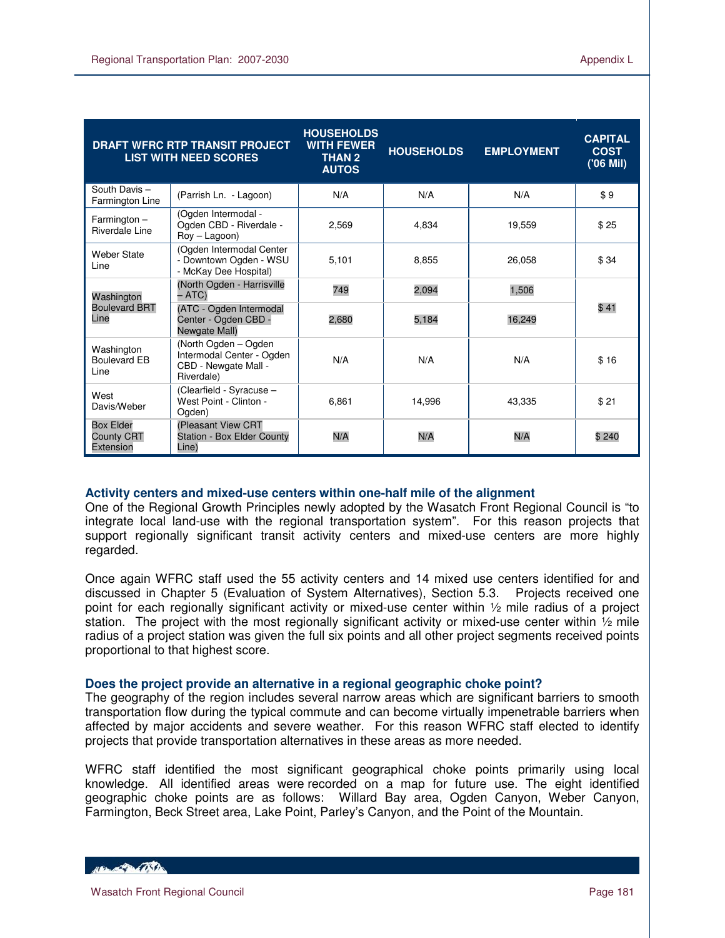|                                                    | <b>DRAFT WFRC RTP TRANSIT PROJECT</b><br><b>LIST WITH NEED SCORES</b>                   | <b>HOUSEHOLDS</b><br><b>WITH FEWER</b><br><b>THAN 2</b><br><b>AUTOS</b> | <b>HOUSEHOLDS</b> | <b>EMPLOYMENT</b> | <b>CAPITAL</b><br><b>COST</b><br>('06 Mil) |
|----------------------------------------------------|-----------------------------------------------------------------------------------------|-------------------------------------------------------------------------|-------------------|-------------------|--------------------------------------------|
| South Davis-<br>Farmington Line                    | (Parrish Ln. - Lagoon)                                                                  | N/A                                                                     | N/A               | N/A               | \$9                                        |
| $Farmington -$<br>Riverdale Line                   | (Ogden Intermodal -<br>Ogden CBD - Riverdale -<br>$Row - Laqoon)$                       | 2.569                                                                   | 4.834             | 19.559            | \$25                                       |
| <b>Weber State</b><br>Line                         | (Ogden Intermodal Center<br>- Downtown Ogden - WSU<br>- McKay Dee Hospital)             | 5.101                                                                   | 8.855             | 26.058            | \$34                                       |
| Washington                                         | (North Ogden - Harrisville<br>– ATC)                                                    | 749                                                                     | 2,094             | 1,506             | \$41                                       |
| <b>Boulevard BRT</b><br>Line                       | (ATC - Ogden Intermodal<br>Center - Ogden CBD -<br>Newgate Mall)                        | 2,680                                                                   | 5,184             | 16,249            |                                            |
| Washington<br><b>Boulevard EB</b><br>Line          | (North Ogden - Ogden<br>Intermodal Center - Ogden<br>CBD - Newgate Mall -<br>Riverdale) | N/A                                                                     | N/A               | N/A               | \$16                                       |
| West<br>Davis/Weber                                | (Clearfield - Syracuse –<br>West Point - Clinton -<br>Ogden)                            | 6.861                                                                   | 14.996            | 43.335            | \$21                                       |
| <b>Box Elder</b><br><b>County CRT</b><br>Extension | (Pleasant View CRT<br><b>Station - Box Elder County</b><br>Line)                        | N/A                                                                     | N/A               | N/A               | \$240                                      |

### **Activity centers and mixed-use centers within one-half mile of the alignment**

One of the Regional Growth Principles newly adopted by the Wasatch Front Regional Council is "to integrate local land-use with the regional transportation system". For this reason projects that support regionally significant transit activity centers and mixed-use centers are more highly regarded.

Once again WFRC staff used the 55 activity centers and 14 mixed use centers identified for and discussed in Chapter 5 (Evaluation of System Alternatives), Section 5.3. Projects received one point for each regionally significant activity or mixed-use center within ½ mile radius of a project station. The project with the most regionally significant activity or mixed-use center within  $\frac{1}{2}$  mile radius of a project station was given the full six points and all other project segments received points proportional to that highest score.

### **Does the project provide an alternative in a regional geographic choke point?**

The geography of the region includes several narrow areas which are significant barriers to smooth transportation flow during the typical commute and can become virtually impenetrable barriers when affected by major accidents and severe weather. For this reason WFRC staff elected to identify projects that provide transportation alternatives in these areas as more needed.

WFRC staff identified the most significant geographical choke points primarily using local knowledge. All identified areas were recorded on a map for future use. The eight identified geographic choke points are as follows: Willard Bay area, Ogden Canyon, Weber Canyon, Farmington, Beck Street area, Lake Point, Parley's Canyon, and the Point of the Mountain.

HELL CONTRACTOR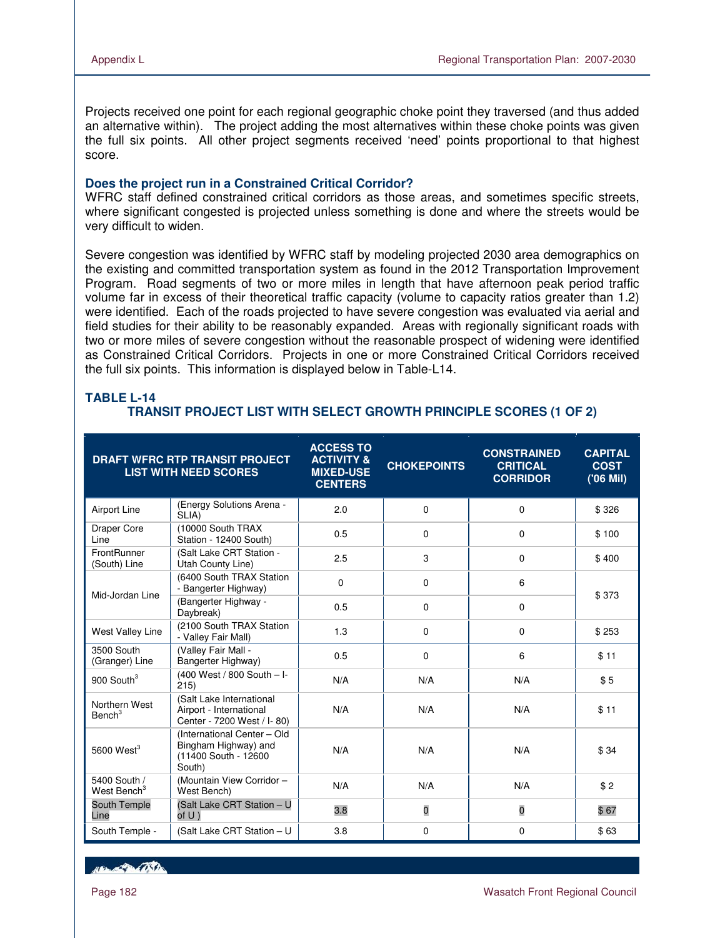Projects received one point for each regional geographic choke point they traversed (and thus added an alternative within). The project adding the most alternatives within these choke points was given the full six points. All other project segments received 'need' points proportional to that highest score.

### **Does the project run in a Constrained Critical Corridor?**

WFRC staff defined constrained critical corridors as those areas, and sometimes specific streets, where significant congested is projected unless something is done and where the streets would be very difficult to widen.

Severe congestion was identified by WFRC staff by modeling projected 2030 area demographics on the existing and committed transportation system as found in the 2012 Transportation Improvement Program. Road segments of two or more miles in length that have afternoon peak period traffic volume far in excess of their theoretical traffic capacity (volume to capacity ratios greater than 1.2) were identified. Each of the roads projected to have severe congestion was evaluated via aerial and field studies for their ability to be reasonably expanded. Areas with regionally significant roads with two or more miles of severe congestion without the reasonable prospect of widening were identified as Constrained Critical Corridors. Projects in one or more Constrained Critical Corridors received the full six points. This information is displayed below in Table-L14.

|                                         | <b>DRAFT WFRC RTP TRANSIT PROJECT</b><br><b>LIST WITH NEED SCORES</b>                 | <b>ACCESS TO</b><br><b>ACTIVITY &amp;</b><br><b>MIXED-USE</b><br><b>CENTERS</b> | <b>CHOKEPOINTS</b> | <b>CONSTRAINED</b><br><b>CRITICAL</b><br><b>CORRIDOR</b> | <b>CAPITAL</b><br><b>COST</b><br>('06 Mil) |
|-----------------------------------------|---------------------------------------------------------------------------------------|---------------------------------------------------------------------------------|--------------------|----------------------------------------------------------|--------------------------------------------|
| Airport Line                            | (Energy Solutions Arena -<br>SLIA)                                                    | 2.0                                                                             | 0                  | $\Omega$                                                 | \$326                                      |
| <b>Draper Core</b><br>Line              | (10000 South TRAX<br>Station - 12400 South)                                           | 0.5                                                                             | 0                  | 0                                                        | \$100                                      |
| FrontRunner<br>(South) Line             | (Salt Lake CRT Station -<br>Utah County Line)                                         | 2.5                                                                             | 3                  | 0                                                        | \$400                                      |
| Mid-Jordan Line                         | (6400 South TRAX Station<br>- Bangerter Highway)                                      | $\mathbf 0$                                                                     | 0                  | 6                                                        |                                            |
|                                         | (Bangerter Highway -<br>Daybreak)                                                     | 0.5                                                                             | 0                  | 0                                                        | \$373                                      |
| <b>West Valley Line</b>                 | (2100 South TRAX Station<br>- Valley Fair Mall)                                       | 1.3                                                                             | 0                  | 0                                                        | \$253                                      |
| 3500 South<br>(Granger) Line            | (Valley Fair Mall -<br>Bangerter Highway)                                             | 0.5                                                                             | $\Omega$           | 6                                                        | \$11                                       |
| 900 South $3$                           | (400 West / 800 South - I-<br>215)                                                    | N/A                                                                             | N/A                | N/A                                                      | \$5                                        |
| Northern West<br>Bench <sup>3</sup>     | (Salt Lake International<br>Airport - International<br>Center - 7200 West / I-80)     | N/A                                                                             | N/A                | N/A                                                      | \$11                                       |
| 5600 West $3$                           | (International Center - Old<br>Bingham Highway) and<br>(11400 South - 12600<br>South) | N/A                                                                             | N/A                | N/A                                                      | \$34                                       |
| 5400 South /<br>West Bench <sup>3</sup> | (Mountain View Corridor -<br>West Bench)                                              | N/A                                                                             | N/A                | N/A                                                      | \$2                                        |
| South Temple<br>Line                    | (Salt Lake CRT Station - U<br>of $U$ )                                                | 3.8                                                                             | $\bf{0}$           | $\overline{\mathbf{0}}$                                  | \$67                                       |
| South Temple -                          | (Salt Lake CRT Station - U                                                            | 3.8                                                                             | 0                  | 0                                                        | \$63                                       |

# **TABLE L-14 TRANSIT PROJECT LIST WITH SELECT GROWTH PRINCIPLE SCORES (1 OF 2)**

**ARACTER COSTA**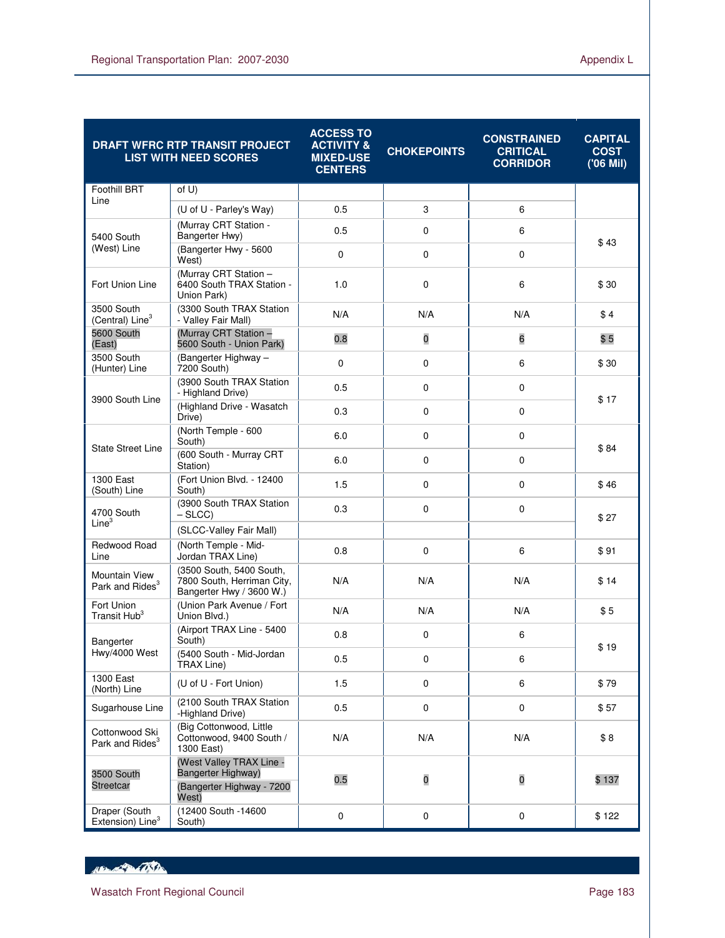|                                               | <b>DRAFT WFRC RTP TRANSIT PROJECT</b><br><b>LIST WITH NEED SCORES</b>              | <b>ACCESS TO</b><br><b>ACTIVITY &amp;</b><br><b>MIXED-USE</b><br><b>CENTERS</b> | <b>CHOKEPOINTS</b>      | <b>CONSTRAINED</b><br><b>CRITICAL</b><br><b>CORRIDOR</b> | <b>CAPITAL</b><br><b>COST</b><br>('06 Mil) |
|-----------------------------------------------|------------------------------------------------------------------------------------|---------------------------------------------------------------------------------|-------------------------|----------------------------------------------------------|--------------------------------------------|
| <b>Foothill BRT</b>                           | of $U$ )                                                                           |                                                                                 |                         |                                                          |                                            |
| Line                                          | (U of U - Parley's Way)                                                            | 0.5                                                                             | 3                       | 6                                                        |                                            |
| 5400 South                                    | (Murray CRT Station -<br>Bangerter Hwy)                                            | 0.5                                                                             | 0                       | 6                                                        | \$43                                       |
| (West) Line                                   | (Bangerter Hwy - 5600<br>West)                                                     | $\mathbf 0$                                                                     | $\mathbf 0$             | $\mathbf 0$                                              |                                            |
| Fort Union Line                               | (Murray CRT Station -<br>6400 South TRAX Station -<br>Union Park)                  | 1.0                                                                             | $\mathbf 0$             | 6                                                        | \$30                                       |
| 3500 South<br>(Central) Line <sup>3</sup>     | (3300 South TRAX Station<br>- Valley Fair Mall)                                    | N/A                                                                             | N/A                     | N/A                                                      | \$4                                        |
| 5600 South<br>(East)                          | (Murray CRT Station -<br>5600 South - Union Park)                                  | 0.8                                                                             | $\overline{\mathbf{0}}$ | 6                                                        | \$5                                        |
| 3500 South<br>(Hunter) Line                   | (Bangerter Highway -<br>7200 South)                                                | $\mathbf 0$                                                                     | 0                       | 6                                                        | \$30                                       |
| 3900 South Line                               | (3900 South TRAX Station<br>- Highland Drive)                                      | 0.5                                                                             | $\mathbf 0$             | 0                                                        | \$17                                       |
|                                               | (Highland Drive - Wasatch<br>Drive)                                                | 0.3                                                                             | 0                       | $\mathbf 0$                                              |                                            |
| <b>State Street Line</b>                      | (North Temple - 600<br>South)                                                      | 6.0                                                                             | 0                       | 0                                                        | \$84                                       |
|                                               | (600 South - Murray CRT<br>Station)                                                | 6.0                                                                             | $\mathbf 0$             | $\mathbf 0$                                              |                                            |
| 1300 East<br>(South) Line                     | (Fort Union Blvd. - 12400<br>South)                                                | 1.5                                                                             | $\mathbf 0$             | $\mathbf 0$                                              | \$46                                       |
| 4700 South<br>Line <sup>3</sup>               | (3900 South TRAX Station<br>– SLCC)                                                | 0.3                                                                             | $\mathbf 0$             | 0                                                        | \$27                                       |
|                                               | (SLCC-Valley Fair Mall)                                                            |                                                                                 |                         |                                                          |                                            |
| Redwood Road<br>Line                          | (North Temple - Mid-<br>Jordan TRAX Line)                                          | 0.8                                                                             | $\mathbf 0$             | 6                                                        | \$91                                       |
| Mountain View<br>Park and Rides <sup>3</sup>  | (3500 South, 5400 South,<br>7800 South, Herriman City,<br>Bangerter Hwy / 3600 W.) | N/A                                                                             | N/A                     | N/A                                                      | \$ 14                                      |
| Fort Union<br>Transit Hub <sup>3</sup>        | (Union Park Avenue / Fort<br>Union Blvd.)                                          | N/A                                                                             | N/A                     | N/A                                                      | \$5                                        |
| Bangerter                                     | (Airport TRAX Line - 5400<br>South)                                                | 0.8                                                                             | $\mathbf 0$             | 6                                                        | \$19                                       |
| Hwy/4000 West                                 | (5400 South - Mid-Jordan<br>TRAX Line)                                             | 0.5                                                                             | 0                       | 6                                                        |                                            |
| 1300 East<br>(North) Line                     | (U of U - Fort Union)                                                              | 1.5                                                                             | $\pmb{0}$               | 6                                                        | \$79                                       |
| Sugarhouse Line                               | (2100 South TRAX Station<br>-Highland Drive)                                       | 0.5                                                                             | $\mathbf 0$             | 0                                                        | \$57                                       |
| Cottonwood Ski<br>Park and Rides <sup>3</sup> | (Big Cottonwood, Little<br>Cottonwood, 9400 South /<br>1300 East)                  | N/A                                                                             | N/A                     | N/A                                                      | \$8                                        |
| 3500 South                                    | (West Valley TRAX Line -<br>Bangerter Highway)                                     | 0.5                                                                             | 0                       | 0                                                        | \$137                                      |
| <b>Streetcar</b>                              | (Bangerter Highway - 7200<br>West)                                                 |                                                                                 |                         |                                                          |                                            |
| Draper (South<br>Extension) Line <sup>3</sup> | (12400 South -14600<br>South)                                                      | $\pmb{0}$                                                                       | 0                       | 0                                                        | \$122                                      |

HELL OF THE CONTROL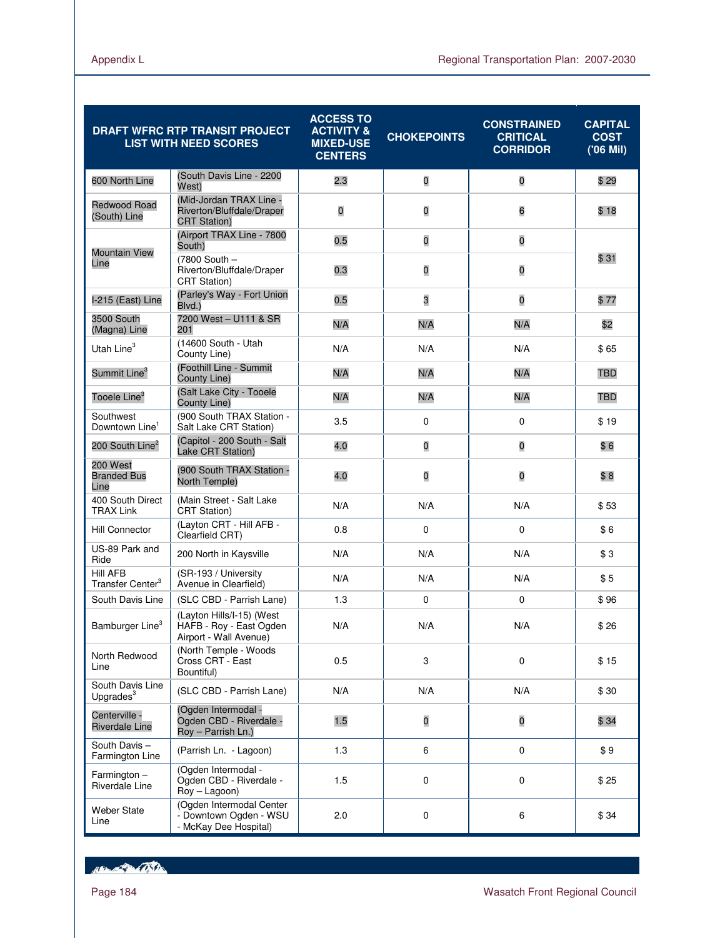|                                                 | <b>DRAFT WFRC RTP TRANSIT PROJECT</b><br><b>LIST WITH NEED SCORES</b>          | <b>ACCESS TO</b><br><b>ACTIVITY &amp;</b><br><b>MIXED-USE</b><br><b>CENTERS</b> | <b>CHOKEPOINTS</b> | <b>CONSTRAINED</b><br><b>CRITICAL</b><br><b>CORRIDOR</b> | <b>CAPITAL</b><br><b>COST</b><br>('06 Mil) |
|-------------------------------------------------|--------------------------------------------------------------------------------|---------------------------------------------------------------------------------|--------------------|----------------------------------------------------------|--------------------------------------------|
| 600 North Line                                  | (South Davis Line - 2200)<br>West)                                             | 2.3                                                                             | $\mathbf 0$        | 0                                                        | \$29                                       |
| Redwood Road<br>(South) Line                    | (Mid-Jordan TRAX Line -<br>Riverton/Bluffdale/Draper<br><b>CRT Station)</b>    | $\overline{0}$                                                                  | 0                  | 6                                                        | \$18                                       |
| <b>Mountain View</b>                            | (Airport TRAX Line - 7800<br>South)                                            | 0.5                                                                             | O                  | 0                                                        |                                            |
| Line                                            | (7800 South -<br>Riverton/Bluffdale/Draper<br><b>CRT Station</b> )             | 0.3                                                                             | O                  | 0                                                        | \$31                                       |
| I-215 (East) Line                               | (Parley's Way - Fort Union<br>Blvd.)                                           | 0.5                                                                             | 3                  | 0                                                        | \$77                                       |
| 3500 South<br>(Magna) Line                      | 7200 West - U111 & SR<br>201                                                   | N/A                                                                             | N/A                | N/A                                                      | \$2                                        |
| Utah Line <sup>3</sup>                          | (14600 South - Utah<br>County Line)                                            | N/A                                                                             | N/A                | N/A                                                      | \$65                                       |
| Summit Line <sup>3</sup>                        | (Foothill Line - Summit<br>County Line)                                        | N/A                                                                             | N/A                | N/A                                                      | TBD                                        |
| Tooele Line $^3$                                | (Salt Lake City - Tooele<br>County Line)                                       | N/A                                                                             | N/A                | N/A                                                      | TBD                                        |
| Southwest<br>Downtown Line <sup>1</sup>         | (900 South TRAX Station -<br>Salt Lake CRT Station)                            | 3.5                                                                             | $\mathbf 0$        | 0                                                        | \$19                                       |
| 200 South Line <sup>2</sup>                     | (Capitol - 200 South - Salt<br>Lake CRT Station)                               | 4.0                                                                             | O                  | O                                                        | \$6                                        |
| 200 West<br><b>Branded Bus</b><br>Line          | (900 South TRAX Station -<br>North Temple)                                     | 4.0                                                                             | O                  | O                                                        | \$8                                        |
| 400 South Direct<br><b>TRAX Link</b>            | (Main Street - Salt Lake<br><b>CRT Station)</b>                                | N/A                                                                             | N/A                | N/A                                                      | \$53                                       |
| <b>Hill Connector</b>                           | (Layton CRT - Hill AFB -<br>Clearfield CRT)                                    | 0.8                                                                             | $\mathbf 0$        | 0                                                        | \$6                                        |
| US-89 Park and<br>Ride                          | 200 North in Kaysville                                                         | N/A                                                                             | N/A                | N/A                                                      | \$3                                        |
| <b>Hill AFB</b><br>Transfer Center <sup>3</sup> | (SR-193 / University<br>Avenue in Clearfield)                                  | N/A                                                                             | N/A                | N/A                                                      | \$5                                        |
| South Davis Line                                | (SLC CBD - Parrish Lane)                                                       | 1.3                                                                             | $\mathbf 0$        | 0                                                        | \$96                                       |
| Bamburger Line <sup>3</sup>                     | (Layton Hills/I-15) (West<br>HAFB - Roy - East Ogden<br>Airport - Wall Avenue) | N/A                                                                             | N/A                | N/A                                                      | \$26                                       |
| North Redwood<br>Line                           | (North Temple - Woods<br>Cross CRT - East<br>Bountiful)                        | 0.5                                                                             | 3                  | 0                                                        | \$15                                       |
| South Davis Line<br>Upgrades <sup>3</sup>       | (SLC CBD - Parrish Lane)                                                       | N/A                                                                             | N/A                | N/A                                                      | \$30                                       |
| Centerville -<br><b>Riverdale Line</b>          | (Ogden Intermodal -<br>Ogden CBD - Riverdale -<br>Roy - Parrish Ln.)           | 1.5                                                                             | $\mathbf 0$        | $\mathbf 0$                                              | \$34                                       |
| South Davis-<br>Farmington Line                 | (Parrish Ln. - Lagoon)                                                         | 1.3                                                                             | 6                  | 0                                                        | \$9                                        |
| $Farmington -$<br>Riverdale Line                | (Ogden Intermodal -<br>Ogden CBD - Riverdale -<br>Roy - Lagoon)                | 1.5                                                                             | $\mathbf 0$        | 0                                                        | \$25                                       |
| <b>Weber State</b><br>Line                      | (Ogden Intermodal Center<br>- Downtown Ogden - WSU<br>- McKay Dee Hospital)    | 2.0                                                                             | 0                  | 6                                                        | \$34                                       |

Hampton College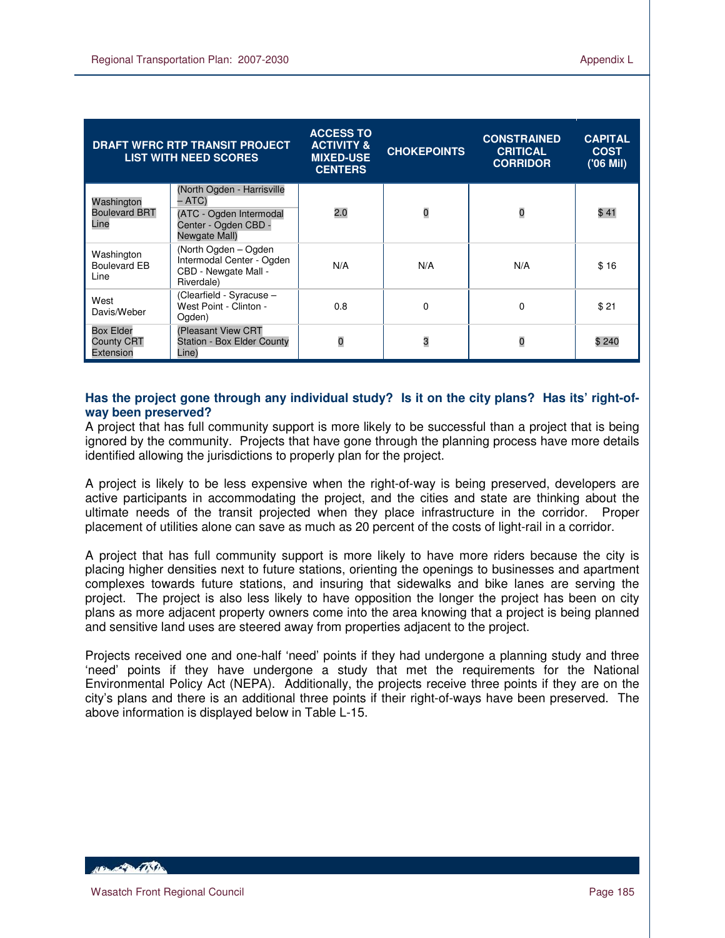| <b>DRAFT WFRC RTP TRANSIT PROJECT</b><br><b>LIST WITH NEED SCORES</b> |                                                                                                          | <b>ACCESS TO</b><br><b>ACTIVITY &amp;</b><br><b>MIXED-USE</b><br><b>CENTERS</b> | <b>CHOKEPOINTS</b> | <b>CONSTRAINED</b><br><b>CRITICAL</b><br><b>CORRIDOR</b> | <b>CAPITAL</b><br><b>COST</b><br>$(06$ Mil) |
|-----------------------------------------------------------------------|----------------------------------------------------------------------------------------------------------|---------------------------------------------------------------------------------|--------------------|----------------------------------------------------------|---------------------------------------------|
| Washington<br><b>Boulevard BRT</b><br>Line                            | (North Ogden - Harrisville<br>– ATC)<br>(ATC - Ogden Intermodal<br>Center - Ogden CBD -<br>Newgate Mall) | 2.0                                                                             | $\overline{0}$     | 0                                                        | \$41                                        |
| Washington<br>Boulevard EB<br>Line                                    | (North Ogden - Ogden<br>Intermodal Center - Ogden<br>CBD - Newgate Mall -<br>Riverdale)                  | N/A                                                                             | N/A                | N/A                                                      | \$16                                        |
| West<br>Davis/Weber                                                   | (Clearfield - Syracuse –<br>West Point - Clinton -<br>Ogden)                                             | 0.8                                                                             | $\Omega$           | 0                                                        | \$21                                        |
| <b>Box Elder</b><br><b>County CRT</b><br>Extension                    | (Pleasant View CRT<br><b>Station - Box Elder County</b><br>Line)                                         | $\overline{0}$                                                                  | 3                  | $\overline{0}$                                           | \$240                                       |

### **Has the project gone through any individual study? Is it on the city plans? Has its' right-ofway been preserved?**

A project that has full community support is more likely to be successful than a project that is being ignored by the community. Projects that have gone through the planning process have more details identified allowing the jurisdictions to properly plan for the project.

A project is likely to be less expensive when the right-of-way is being preserved, developers are active participants in accommodating the project, and the cities and state are thinking about the ultimate needs of the transit projected when they place infrastructure in the corridor. Proper placement of utilities alone can save as much as 20 percent of the costs of light-rail in a corridor.

A project that has full community support is more likely to have more riders because the city is placing higher densities next to future stations, orienting the openings to businesses and apartment complexes towards future stations, and insuring that sidewalks and bike lanes are serving the project. The project is also less likely to have opposition the longer the project has been on city plans as more adjacent property owners come into the area knowing that a project is being planned and sensitive land uses are steered away from properties adjacent to the project.

Projects received one and one-half 'need' points if they had undergone a planning study and three 'need' points if they have undergone a study that met the requirements for the National Environmental Policy Act (NEPA). Additionally, the projects receive three points if they are on the city's plans and there is an additional three points if their right-of-ways have been preserved. The above information is displayed below in Table L-15.

**ABLACE DE LA CONTENTE**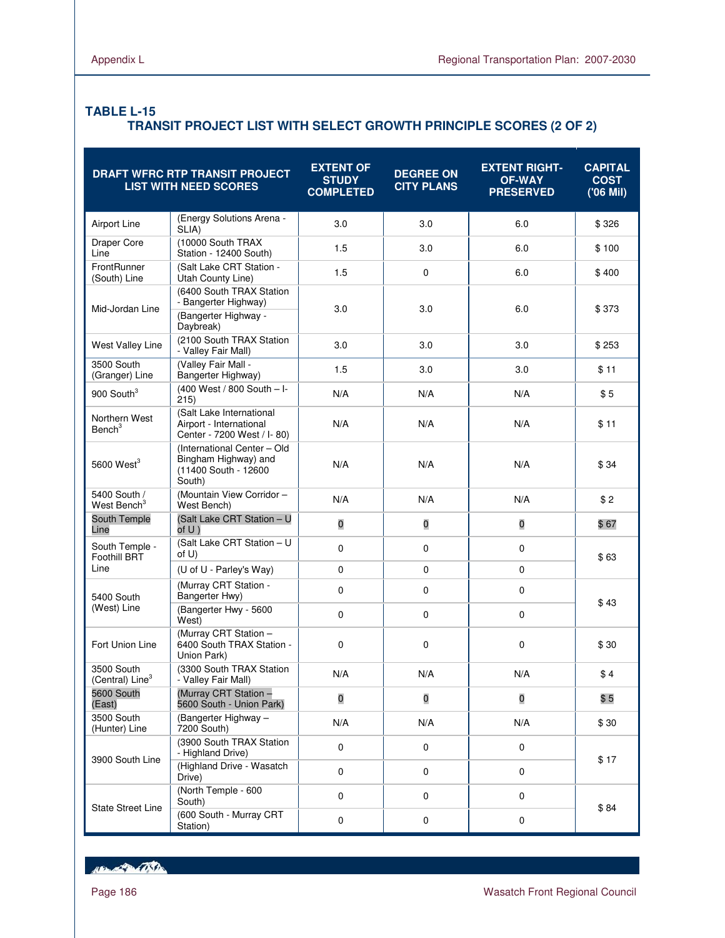# **TABLE L-15 TRANSIT PROJECT LIST WITH SELECT GROWTH PRINCIPLE SCORES (2 OF 2)**

|                                           | DRAFT WFRC RTP TRANSIT PROJECT<br><b>LIST WITH NEED SCORES</b>                        | <b>EXTENT OF</b><br><b>STUDY</b><br><b>COMPLETED</b> | <b>DEGREE ON</b><br><b>CITY PLANS</b> | <b>EXTENT RIGHT-</b><br><b>OF-WAY</b><br><b>PRESERVED</b> | <b>CAPITAL</b><br><b>COST</b><br>('06 Mil) |  |
|-------------------------------------------|---------------------------------------------------------------------------------------|------------------------------------------------------|---------------------------------------|-----------------------------------------------------------|--------------------------------------------|--|
| Airport Line                              | (Energy Solutions Arena -<br>SLIA)                                                    | 3.0                                                  | 3.0                                   | 6.0                                                       | \$326                                      |  |
| Draper Core<br>Line                       | (10000 South TRAX<br>Station - 12400 South)                                           | 1.5                                                  | 3.0                                   | 6.0                                                       | \$100                                      |  |
| FrontRunner<br>(South) Line               | (Salt Lake CRT Station -<br>Utah County Line)                                         | 1.5                                                  | 0                                     | 6.0                                                       | \$400                                      |  |
| Mid-Jordan Line                           | (6400 South TRAX Station<br>- Bangerter Highway)<br>(Bangerter Highway -<br>Daybreak) | 3.0                                                  | 3.0                                   | 6.0                                                       | \$373                                      |  |
| West Valley Line                          | (2100 South TRAX Station<br>- Valley Fair Mall)                                       | 3.0                                                  | 3.0                                   | 3.0                                                       | \$253                                      |  |
| 3500 South<br>(Granger) Line              | (Valley Fair Mall -<br>Bangerter Highway)                                             | 1.5                                                  | 3.0                                   | 3.0                                                       | \$11                                       |  |
| 900 South $3$                             | (400 West / 800 South - I-<br>215)                                                    | N/A                                                  | N/A                                   | N/A                                                       | \$5                                        |  |
| Northern West<br>Bench <sup>3</sup>       | (Salt Lake International<br>Airport - International<br>Center - 7200 West / I-80)     | N/A                                                  | N/A                                   | N/A                                                       | \$11                                       |  |
| 5600 West $3$                             | (International Center - Old<br>Bingham Highway) and<br>(11400 South - 12600<br>South) | N/A                                                  | N/A                                   | N/A                                                       | \$34                                       |  |
| 5400 South /<br>West Bench <sup>3</sup>   | (Mountain View Corridor -<br>West Bench)                                              | N/A                                                  | N/A                                   | N/A                                                       | \$2                                        |  |
| South Temple<br>Line                      | (Salt Lake CRT Station - U<br>of U)                                                   | $\overline{0}$                                       | $\mathbf 0$                           | $\mathbf 0$                                               | \$67                                       |  |
| South Temple -<br><b>Foothill BRT</b>     | (Salt Lake CRT Station - U<br>of U)                                                   | 0                                                    | 0                                     | $\pmb{0}$                                                 | \$63                                       |  |
| Line                                      | (U of U - Parley's Way)                                                               | 0                                                    | 0                                     | 0                                                         |                                            |  |
| 5400 South                                | (Murray CRT Station -<br>Bangerter Hwy)                                               | 0                                                    | 0                                     | $\mathbf 0$                                               | \$43                                       |  |
| (West) Line                               | (Bangerter Hwy - 5600<br>West)                                                        | 0                                                    | 0                                     | $\mathbf 0$                                               |                                            |  |
| Fort Union Line                           | (Murray CRT Station -<br>6400 South TRAX Station -<br>Union Park)                     | 0                                                    | 0                                     | 0                                                         | \$30                                       |  |
| 3500 South<br>(Central) Line <sup>3</sup> | (3300 South TRAX Station<br>- Valley Fair Mall)                                       | N/A                                                  | N/A                                   | N/A                                                       | \$4                                        |  |
| 5600 South<br>(East)                      | (Murray CRT Station -<br>5600 South - Union Park)                                     | 0                                                    | 0                                     | $\mathbf 0$                                               | \$5                                        |  |
| 3500 South<br>(Hunter) Line               | (Bangerter Highway -<br>7200 South)                                                   | N/A                                                  | N/A                                   | N/A                                                       | \$30                                       |  |
| 3900 South Line                           | (3900 South TRAX Station<br>- Highland Drive)                                         | $\mathbf 0$                                          | 0                                     | $\mathbf 0$                                               |                                            |  |
|                                           | (Highland Drive - Wasatch<br>Drive)                                                   | 0                                                    | 0                                     | 0                                                         | \$17                                       |  |
| <b>State Street Line</b>                  | (North Temple - 600<br>South)                                                         | 0                                                    | 0                                     | $\mathbf 0$                                               | \$84                                       |  |
|                                           | (600 South - Murray CRT<br>Station)                                                   | 0                                                    | 0                                     | 0                                                         |                                            |  |

New Partition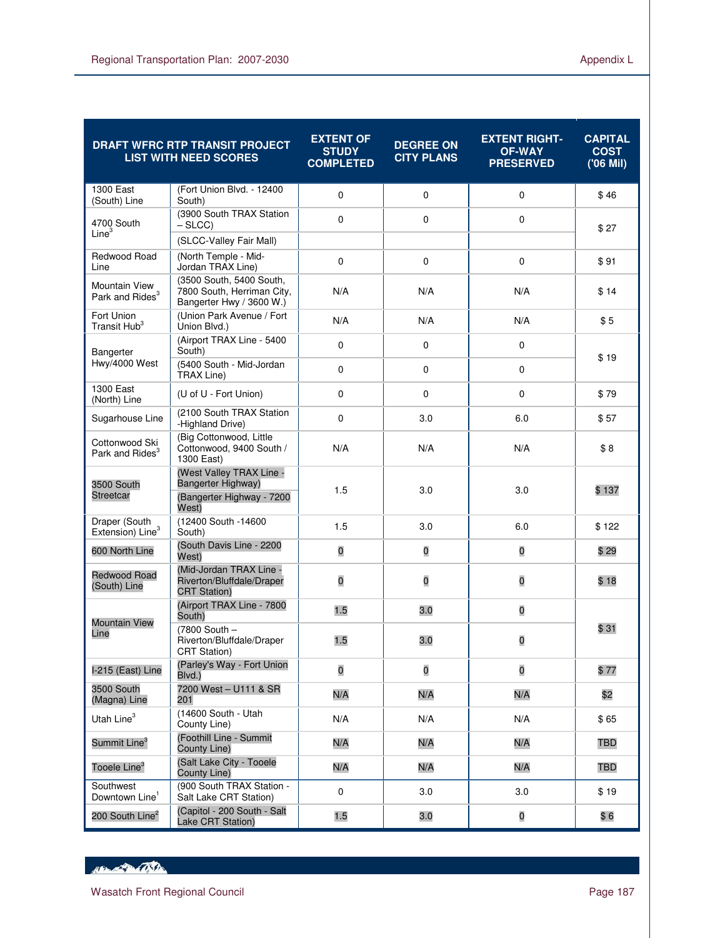|                                               | DRAFT WFRC RTP TRANSIT PROJECT<br><b>LIST WITH NEED SCORES</b>                       | <b>EXTENT OF</b><br><b>STUDY</b><br><b>COMPLETED</b> | <b>DEGREE ON</b><br><b>CITY PLANS</b> | <b>EXTENT RIGHT-</b><br><b>OF-WAY</b><br><b>PRESERVED</b> | <b>CAPITAL</b><br><b>COST</b><br>('06 Mil) |  |
|-----------------------------------------------|--------------------------------------------------------------------------------------|------------------------------------------------------|---------------------------------------|-----------------------------------------------------------|--------------------------------------------|--|
| 1300 East<br>(South) Line                     | (Fort Union Blvd. - 12400<br>South)                                                  | $\mathbf 0$                                          | $\mathbf 0$                           | $\mathbf 0$                                               | \$46                                       |  |
| 4700 South<br>Line <sup>3</sup>               | (3900 South TRAX Station<br>– SLCC)                                                  | $\mathbf 0$                                          | $\mathbf 0$                           | 0                                                         | \$27                                       |  |
|                                               | (SLCC-Valley Fair Mall)                                                              |                                                      |                                       |                                                           |                                            |  |
| Redwood Road<br>Line                          | (North Temple - Mid-<br>Jordan TRAX Line)                                            | $\pmb{0}$                                            | $\mathbf 0$                           | 0                                                         | \$91                                       |  |
| Mountain View<br>Park and Rides <sup>3</sup>  | (3500 South, 5400 South,<br>7800 South, Herriman City,<br>Bangerter Hwy / 3600 W.)   | N/A                                                  | N/A                                   | N/A                                                       | \$14                                       |  |
| Fort Union<br>Transit Hub <sup>3</sup>        | (Union Park Avenue / Fort<br>Union Blvd.)                                            | N/A                                                  | N/A                                   | N/A                                                       | \$5                                        |  |
| Bangerter                                     | (Airport TRAX Line - 5400<br>South)                                                  | $\mathbf 0$                                          | $\mathbf 0$                           | 0                                                         | \$19                                       |  |
| Hwy/4000 West                                 | (5400 South - Mid-Jordan<br>TRAX Line)                                               | $\mathbf 0$                                          | $\mathbf 0$                           | 0                                                         |                                            |  |
| 1300 East<br>(North) Line                     | (U of U - Fort Union)                                                                | $\mathbf 0$                                          | $\Omega$                              | 0                                                         | \$79                                       |  |
| Sugarhouse Line                               | (2100 South TRAX Station<br>-Highland Drive)                                         | $\mathbf 0$                                          | 3.0                                   | 6.0                                                       | \$57                                       |  |
| Cottonwood Ski<br>Park and Rides <sup>3</sup> | (Big Cottonwood, Little<br>Cottonwood, 9400 South /<br>1300 East)                    | N/A                                                  | N/A                                   | N/A                                                       | \$8                                        |  |
| 3500 South<br><b>Streetcar</b>                | (West Valley TRAX Line -<br>Bangerter Highway)<br>(Bangerter Highway - 7200<br>West) | 1.5                                                  | 3.0                                   | 3.0                                                       | \$137                                      |  |
| Draper (South<br>Extension) Line <sup>3</sup> | (12400 South -14600<br>South)                                                        | 1.5                                                  | 3.0                                   | 6.0                                                       | \$122                                      |  |
| 600 North Line                                | (South Davis Line - 2200<br>West)                                                    | 0                                                    | 0                                     | 0                                                         | \$29                                       |  |
| <b>Redwood Road</b><br>(South) Line           | (Mid-Jordan TRAX Line -<br>Riverton/Bluffdale/Draper<br><b>CRT Station)</b>          | $\overline{0}$                                       | $\overline{0}$                        | 0                                                         | \$18                                       |  |
|                                               | (Airport TRAX Line - 7800<br>South)                                                  | 1.5                                                  | 3.0                                   | 0                                                         |                                            |  |
| <b>Mountain View</b><br>Line                  | (7800 South -<br>Riverton/Bluffdale/Draper<br><b>CRT Station)</b>                    | 1.5                                                  | 3.0                                   | 0                                                         | \$31                                       |  |
| I-215 (East) Line                             | (Parley's Way - Fort Union<br>Blvd.)                                                 | $\pmb{0}$                                            | $\pmb{0}$                             | $\overline{\mathbf{0}}$                                   | \$77                                       |  |
| 3500 South<br>(Magna) Line                    | 7200 West - U111 & SR<br>201                                                         | N/A                                                  | N/A                                   | N/A                                                       | \$2                                        |  |
| Utah Line <sup>3</sup>                        | (14600 South - Utah<br>County Line)                                                  | N/A                                                  | N/A                                   | N/A                                                       | \$65                                       |  |
| Summit Line <sup>3</sup>                      | (Foothill Line - Summit<br>County Line)                                              | N/A                                                  | N/A                                   | N/A                                                       | <b>TBD</b>                                 |  |
| Tooele Line <sup>3</sup>                      | (Salt Lake City - Tooele<br>County Line)                                             | N/A                                                  | N/A                                   | N/A                                                       | <b>TBD</b>                                 |  |
| Southwest<br>Downtown Line <sup>1</sup>       | (900 South TRAX Station -<br>Salt Lake CRT Station)                                  | $\mathbf 0$                                          | 3.0                                   | 3.0                                                       | \$19                                       |  |
| 200 South Line <sup>2</sup>                   | (Capitol - 200 South - Salt<br>Lake CRT Station)                                     | 1.5                                                  | 3.0                                   | $\mathbf 0$                                               | \$6                                        |  |

HELL OF THE CONTROL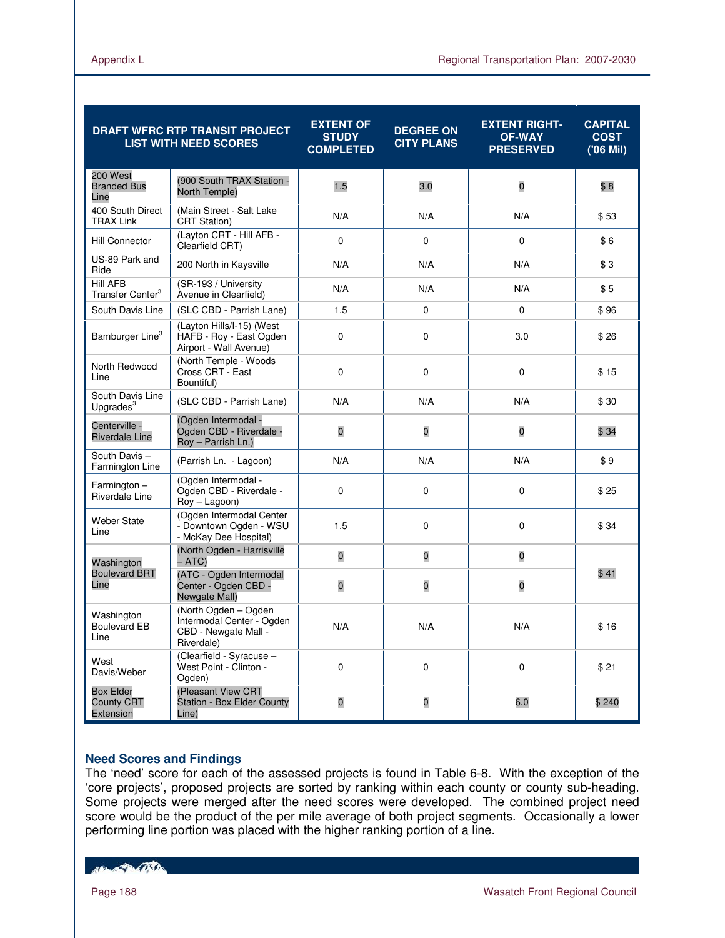| <b>DRAFT WFRC RTP TRANSIT PROJECT</b><br><b>LIST WITH NEED SCORES</b> |                                                                                         | <b>EXTENT OF</b><br><b>STUDY</b><br><b>COMPLETED</b> | <b>DEGREE ON</b><br><b>CITY PLANS</b> | <b>EXTENT RIGHT-</b><br><b>OF-WAY</b><br><b>PRESERVED</b> | <b>CAPITAL</b><br><b>COST</b><br>('06 Mil) |  |
|-----------------------------------------------------------------------|-----------------------------------------------------------------------------------------|------------------------------------------------------|---------------------------------------|-----------------------------------------------------------|--------------------------------------------|--|
| 200 West<br><b>Branded Bus</b><br>Line                                | (900 South TRAX Station -<br>North Temple)                                              | 1.5                                                  | 3.0                                   | 0                                                         | \$8                                        |  |
| 400 South Direct<br><b>TRAX Link</b>                                  | (Main Street - Salt Lake<br><b>CRT Station)</b>                                         | N/A                                                  | N/A                                   | N/A                                                       | \$53                                       |  |
| <b>Hill Connector</b>                                                 | (Layton CRT - Hill AFB -<br>Clearfield CRT)                                             | $\Omega$                                             | $\Omega$                              | $\Omega$                                                  | \$6                                        |  |
| US-89 Park and<br>Ride                                                | 200 North in Kaysville                                                                  | N/A                                                  | N/A                                   | N/A                                                       | \$3                                        |  |
| <b>Hill AFB</b><br>Transfer Center <sup>3</sup>                       | (SR-193 / University<br>Avenue in Clearfield)                                           | N/A                                                  | N/A                                   | N/A                                                       | \$5                                        |  |
| South Davis Line                                                      | (SLC CBD - Parrish Lane)                                                                | 1.5                                                  | $\mathbf 0$                           | 0                                                         | \$96                                       |  |
| Bamburger Line <sup>3</sup>                                           | (Layton Hills/I-15) (West<br>HAFB - Roy - East Ogden<br>Airport - Wall Avenue)          | $\Omega$                                             | $\Omega$                              | 3.0                                                       | \$26                                       |  |
| North Redwood<br>Line                                                 | (North Temple - Woods<br>Cross CRT - East<br>Bountiful)                                 | $\mathbf 0$                                          | $\mathbf 0$                           | 0                                                         | \$15                                       |  |
| South Davis Line<br>Upgrades <sup>3</sup>                             | (SLC CBD - Parrish Lane)                                                                | N/A                                                  | N/A                                   | N/A                                                       | \$30                                       |  |
| Centerville -<br><b>Riverdale Line</b>                                | (Ogden Intermodal -<br>Ogden CBD - Riverdale -<br>Roy - Parrish Ln.)                    | $\mathbf 0$                                          | O                                     | O                                                         | \$34                                       |  |
| South Davis-<br>Farmington Line                                       | (Parrish Ln. - Lagoon)                                                                  | N/A                                                  | N/A                                   | N/A                                                       | \$9                                        |  |
| $Farmington -$<br>Riverdale Line                                      | (Ogden Intermodal -<br>Ogden CBD - Riverdale -<br>Roy - Lagoon)                         | $\mathbf 0$                                          | $\mathbf 0$                           | 0                                                         | \$25                                       |  |
| <b>Weber State</b><br>Line                                            | (Ogden Intermodal Center<br>- Downtown Ogden - WSU<br>- McKay Dee Hospital)             | 1.5                                                  | 0                                     | 0                                                         | \$34                                       |  |
| Washington                                                            | (North Ogden - Harrisville<br>– ATC)                                                    | $\overline{0}$                                       | 0                                     | 0                                                         |                                            |  |
| <b>Boulevard BRT</b><br>Line                                          | (ATC - Ogden Intermodal<br>Center - Ogden CBD -<br>Newgate Mall)                        | $\mathbf 0$<br>0<br>0                                |                                       |                                                           | \$41                                       |  |
| Washington<br><b>Boulevard EB</b><br>Line                             | (North Ogden - Ogden<br>Intermodal Center - Ogden<br>CBD - Newgate Mall -<br>Riverdale) | N/A                                                  | N/A                                   | N/A                                                       | \$16                                       |  |
| West<br>Davis/Weber                                                   | (Clearfield - Syracuse -<br>West Point - Clinton -<br>Ogden)                            | $\mathbf 0$                                          | $\mathbf 0$                           | 0                                                         | \$21                                       |  |
| <b>Box Elder</b><br><b>County CRT</b><br>Extension                    | (Pleasant View CRT<br><b>Station - Box Elder County</b><br>Line)                        | 0                                                    | 0                                     | 6.0                                                       | \$240                                      |  |

# **Need Scores and Findings**

The 'need' score for each of the assessed projects is found in Table 6-8. With the exception of the 'core projects', proposed projects are sorted by ranking within each county or county sub-heading. Some projects were merged after the need scores were developed. The combined project need score would be the product of the per mile average of both project segments. Occasionally a lower performing line portion was placed with the higher ranking portion of a line.

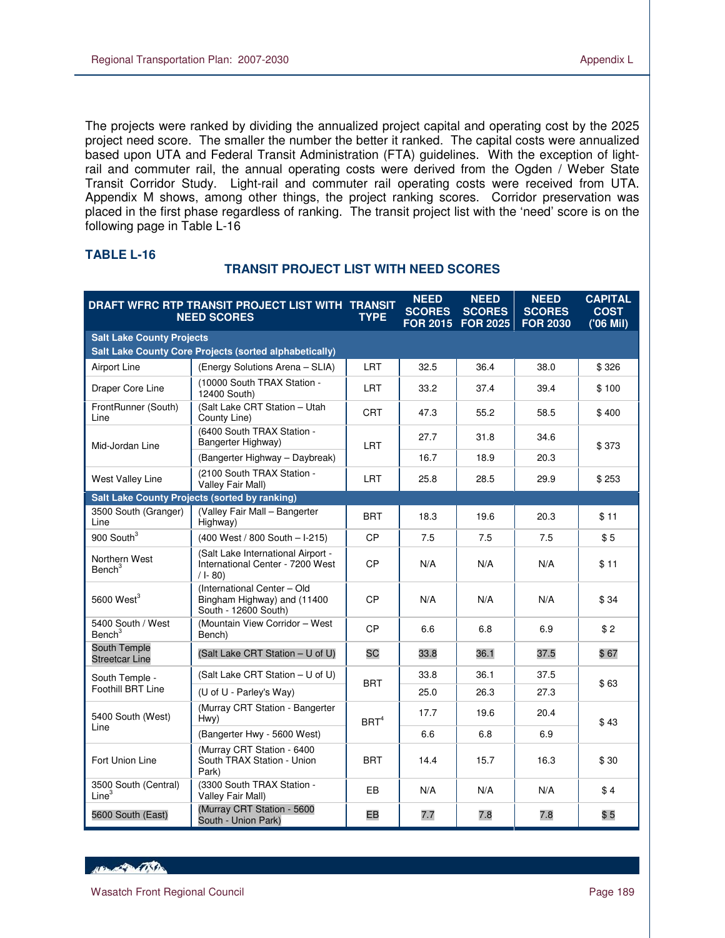The projects were ranked by dividing the annualized project capital and operating cost by the 2025 project need score. The smaller the number the better it ranked. The capital costs were annualized based upon UTA and Federal Transit Administration (FTA) guidelines. With the exception of lightrail and commuter rail, the annual operating costs were derived from the Ogden / Weber State Transit Corridor Study. Light-rail and commuter rail operating costs were received from UTA. Appendix M shows, among other things, the project ranking scores. Corridor preservation was placed in the first phase regardless of ranking. The transit project list with the 'need' score is on the following page in Table L-16

|                                           | DRAFT WFRC RTP TRANSIT PROJECT LIST WITH TRANSIT<br><b>NEED SCORES</b>               | <b>TYPE</b>      | <b>NEED</b><br><b>SCORES</b><br><b>FOR 2015</b> | <b>NEED</b><br><b>SCORES</b><br><b>FOR 2025</b> | <b>NEED</b><br><b>SCORES</b><br><b>FOR 2030</b> | <b>CAPITAL</b><br><b>COST</b><br>('06 Mil) |
|-------------------------------------------|--------------------------------------------------------------------------------------|------------------|-------------------------------------------------|-------------------------------------------------|-------------------------------------------------|--------------------------------------------|
| <b>Salt Lake County Projects</b>          |                                                                                      |                  |                                                 |                                                 |                                                 |                                            |
|                                           | Salt Lake County Core Projects (sorted alphabetically)                               |                  |                                                 |                                                 |                                                 |                                            |
| <b>Airport Line</b>                       | (Energy Solutions Arena - SLIA)                                                      | <b>LRT</b>       | 32.5                                            | 36.4                                            | 38.0                                            | \$326                                      |
| Draper Core Line                          | (10000 South TRAX Station -<br>12400 South)                                          | LRT              | 33.2                                            | 37.4                                            | 39.4                                            | \$100                                      |
| FrontRunner (South)<br>Line               | (Salt Lake CRT Station - Utah<br>County Line)                                        | <b>CRT</b>       | 47.3                                            | 55.2                                            | 58.5                                            | \$400                                      |
| Mid-Jordan Line                           | (6400 South TRAX Station -<br>Bangerter Highway)                                     | <b>LRT</b>       | 27.7                                            | 31.8                                            | 34.6                                            | \$373                                      |
|                                           | (Bangerter Highway - Daybreak)                                                       |                  | 16.7                                            | 18.9                                            | 20.3                                            |                                            |
| West Valley Line                          | (2100 South TRAX Station -<br>Valley Fair Mall)                                      | <b>LRT</b>       | 25.8                                            | 28.5                                            | 29.9                                            | \$253                                      |
|                                           | <b>Salt Lake County Projects (sorted by ranking)</b>                                 |                  |                                                 |                                                 |                                                 |                                            |
| 3500 South (Granger)<br>Line              | (Valley Fair Mall - Bangerter<br>Highway)                                            | <b>BRT</b>       | 18.3                                            | 19.6                                            | 20.3                                            | \$11                                       |
| 900 South <sup>3</sup>                    | (400 West / 800 South - I-215)                                                       | <b>CP</b>        | 7.5                                             | 7.5                                             | 7.5                                             | \$5                                        |
| Northern West<br>Bench <sup>3</sup>       | (Salt Lake International Airport -<br>International Center - 7200 West<br>$/ I - 80$ | CP               | N/A                                             | N/A                                             | N/A                                             | \$11                                       |
| 5600 West $3$                             | (International Center - Old<br>Bingham Highway) and (11400<br>South - 12600 South)   | CP               | N/A                                             | N/A                                             | N/A                                             | \$34                                       |
| 5400 South / West<br>Bench <sup>3</sup>   | (Mountain View Corridor - West<br>Bench)                                             | <b>CP</b>        | 6.6                                             | 6.8                                             | 6.9                                             | \$2                                        |
| South Temple<br><b>Streetcar Line</b>     | (Salt Lake CRT Station - U of U)                                                     | SC               | 33.8                                            | 36.1                                            | 37.5                                            | \$67                                       |
| South Temple -                            | (Salt Lake CRT Station - U of U)                                                     | <b>BRT</b>       | 33.8                                            | 36.1                                            | 37.5                                            | \$63                                       |
| Foothill BRT Line                         | (U of U - Parley's Way)                                                              |                  | 25.0                                            | 26.3                                            | 27.3<br>20.4<br>6.9<br>16.3<br>N/A              |                                            |
| 5400 South (West)                         | (Murray CRT Station - Bangerter<br>Hwy)                                              | BRT <sup>4</sup> | 17.7                                            | 19.6                                            |                                                 | \$43                                       |
| Line                                      | (Bangerter Hwy - 5600 West)                                                          |                  | 6.6                                             | 6.8                                             |                                                 |                                            |
| Fort Union Line                           | (Murray CRT Station - 6400<br>South TRAX Station - Union<br>Park)                    | <b>BRT</b>       | 14.4                                            | 15.7                                            |                                                 | \$30                                       |
| 3500 South (Central)<br>Line <sup>3</sup> | (3300 South TRAX Station -<br>Valley Fair Mall)                                      | EB               | N/A                                             | N/A                                             |                                                 | \$4                                        |
| 5600 South (East)                         | (Murray CRT Station - 5600<br>South - Union Park)                                    | EB               | 7.7                                             | 7.8                                             | 7.8                                             | \$5                                        |

### **TABLE L-16**

 $\overline{a}$ 

### **TRANSIT PROJECT LIST WITH NEED SCORES**

HELL POLITICS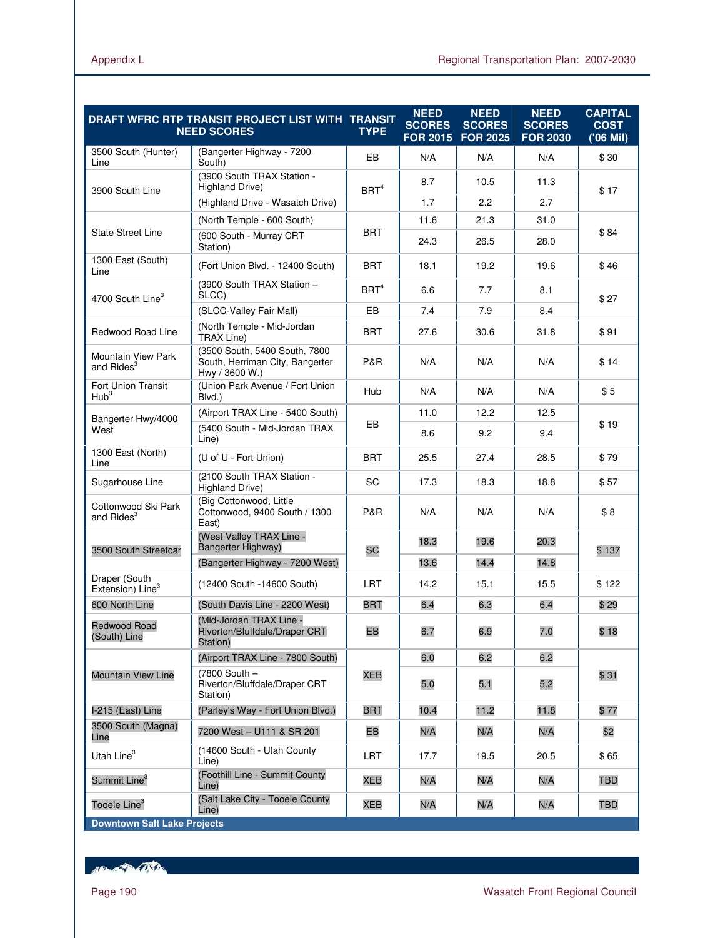|                                               | DRAFT WFRC RTP TRANSIT PROJECT LIST WITH TRANSIT<br><b>NEED SCORES</b>             | <b>TYPE</b>      | <b>NEED</b><br><b>SCORES</b><br><b>FOR 2015</b> | <b>NEED</b><br><b>SCORES</b><br><b>FOR 2025</b> | <b>NEED</b><br><b>SCORES</b><br><b>FOR 2030</b> | <b>CAPITAL</b><br><b>COST</b><br>$(06$ Mil) |
|-----------------------------------------------|------------------------------------------------------------------------------------|------------------|-------------------------------------------------|-------------------------------------------------|-------------------------------------------------|---------------------------------------------|
| 3500 South (Hunter)<br>Line                   | (Bangerter Highway - 7200<br>South)                                                | EB               | N/A                                             | N/A                                             | N/A                                             | \$30                                        |
| 3900 South Line                               | (3900 South TRAX Station -<br>Highland Drive)                                      | BRT <sup>4</sup> | 8.7                                             | 10.5                                            | 11.3                                            | \$17                                        |
|                                               | (Highland Drive - Wasatch Drive)                                                   |                  | 1.7                                             | 2.2                                             | 2.7                                             |                                             |
|                                               | (North Temple - 600 South)                                                         |                  | 11.6                                            | 21.3                                            | 31.0                                            |                                             |
| <b>State Street Line</b>                      | (600 South - Murray CRT<br>Station)                                                | <b>BRT</b>       | 24.3                                            | 26.5                                            | 28.0                                            | \$84                                        |
| 1300 East (South)<br>Line                     | (Fort Union Blvd. - 12400 South)                                                   | <b>BRT</b>       | 18.1                                            | 19.2                                            | 19.6                                            | \$46                                        |
| 4700 South Line <sup>3</sup>                  | (3900 South TRAX Station -<br>SLCC)                                                | BRT <sup>4</sup> | 6.6                                             | 7.7                                             | 8.1                                             | \$27                                        |
|                                               | (SLCC-Valley Fair Mall)                                                            | EB               | 7.4                                             | 7.9                                             | 8.4                                             |                                             |
| <b>Redwood Road Line</b>                      | (North Temple - Mid-Jordan<br><b>TRAX Line)</b>                                    | <b>BRT</b>       | 27.6                                            | 30.6                                            | 31.8                                            | \$91                                        |
| Mountain View Park<br>and Rides <sup>3</sup>  | (3500 South, 5400 South, 7800<br>South, Herriman City, Bangerter<br>Hwy / 3600 W.) | P&R              | N/A                                             | N/A                                             | N/A                                             | \$14                                        |
| Fort Union Transit<br>Hub <sup>3</sup>        | (Union Park Avenue / Fort Union<br>Blvd.)                                          | Hub              | N/A                                             | N/A                                             | N/A                                             | \$5                                         |
| Bangerter Hwy/4000                            | (Airport TRAX Line - 5400 South)                                                   |                  | 11.0                                            | 12.2                                            | 12.5                                            |                                             |
| West                                          | (5400 South - Mid-Jordan TRAX)<br>Line)                                            | EB               | 8.6                                             | 9.2                                             | 9.4                                             | \$19                                        |
| 1300 East (North)<br>Line                     | (U of U - Fort Union)                                                              | <b>BRT</b>       | 25.5                                            | 27.4                                            | 28.5                                            | \$79                                        |
| Sugarhouse Line                               | (2100 South TRAX Station -<br>Highland Drive)                                      | SC               | 17.3                                            | 18.3                                            | 18.8                                            | \$57                                        |
| Cottonwood Ski Park<br>and Rides <sup>3</sup> | (Big Cottonwood, Little<br>Cottonwood, 9400 South / 1300<br>East)                  | P&R              | N/A                                             | N/A                                             | N/A                                             | \$8                                         |
| 3500 South Streetcar                          | (West Valley TRAX Line -<br>Bangerter Highway)                                     | SC               | 18.3                                            | 19.6                                            | 20.3                                            | \$137                                       |
|                                               | (Bangerter Highway - 7200 West)                                                    |                  | 13.6                                            | 14.4                                            | 14.8                                            |                                             |
| Draper (South<br>Extension) Line <sup>3</sup> | (12400 South -14600 South)                                                         | <b>LRT</b>       | 14.2                                            | 15.1                                            | 15.5                                            | \$122                                       |
| 600 North Line                                | (South Davis Line - 2200 West)                                                     | BRT              | 6.4                                             | 6.3                                             | 6.4                                             | \$29                                        |
| <b>Redwood Road</b><br>(South) Line           | (Mid-Jordan TRAX Line -<br>Riverton/Bluffdale/Draper CRT<br>Station)               | EB               | 6.7                                             | 6.9                                             | 7.0                                             | \$18                                        |
|                                               | (Airport TRAX Line - 7800 South)                                                   |                  | 6.0                                             | 6.2                                             | 6.2                                             |                                             |
| <b>Mountain View Line</b>                     | (7800 South -<br>Riverton/Bluffdale/Draper CRT<br>Station)                         | <b>XEB</b>       | 5.0                                             | 5.1                                             | 5.2                                             | \$31                                        |
| I-215 (East) Line                             | (Parley's Way - Fort Union Blvd.)                                                  | <b>BRT</b>       | 10.4                                            | 11.2                                            | 11.8                                            | \$77                                        |
| 3500 South (Magna)<br>Line                    | 7200 West - U111 & SR 201                                                          | EB               | N/A                                             | N/A                                             | N/A                                             | \$2                                         |
| Utah Line <sup>3</sup>                        | (14600 South - Utah County<br>Line)                                                | LRT              | 17.7                                            | 19.5                                            | 20.5                                            | \$65                                        |
| Summit Line <sup>3</sup>                      | (Foothill Line - Summit County<br>Line)                                            | XEB              | N/A                                             | N/A                                             | N/A                                             | TBD                                         |
| Tooele Line <sup>3</sup>                      | (Salt Lake City - Tooele County<br>Line)                                           | <b>XEB</b>       | N/A                                             | N/A                                             | N/A                                             | <b>TBD</b>                                  |
| <b>Downtown Salt Lake Projects</b>            |                                                                                    |                  |                                                 |                                                 |                                                 |                                             |

Hampton College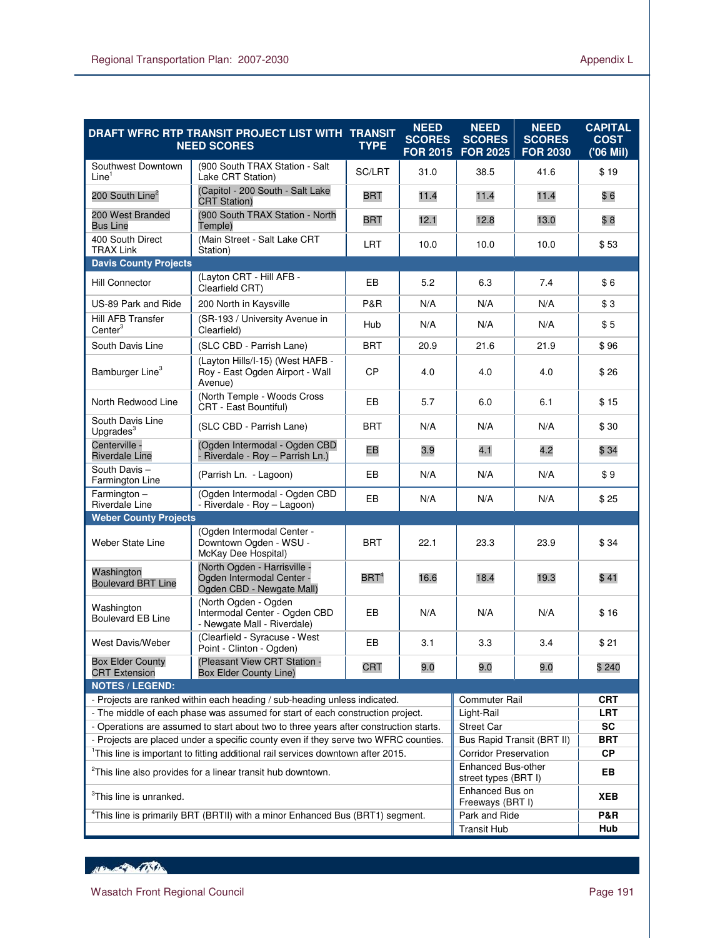|                                                                                                                                                                         | DRAFT WFRC RTP TRANSIT PROJECT LIST WITH TRANSIT<br><b>NEED SCORES</b>                    | <b>TYPE</b>      | <b>NEED</b><br><b>SCORES</b><br><b>FOR 2015</b>   | <b>NEED</b><br><b>SCORES</b><br><b>FOR 2025</b>            | <b>NEED</b><br><b>SCORES</b><br><b>FOR 2030</b> | <b>CAPITAL</b><br><b>COST</b><br>('06 Mil) |
|-------------------------------------------------------------------------------------------------------------------------------------------------------------------------|-------------------------------------------------------------------------------------------|------------------|---------------------------------------------------|------------------------------------------------------------|-------------------------------------------------|--------------------------------------------|
| Southwest Downtown<br>Line <sup>1</sup>                                                                                                                                 | (900 South TRAX Station - Salt<br>Lake CRT Station)                                       | SC/LRT           | 31.0                                              | 38.5                                                       | 41.6                                            | \$19                                       |
| 200 South Line <sup>2</sup>                                                                                                                                             | (Capitol - 200 South - Salt Lake<br><b>CRT Station)</b>                                   | <b>BRT</b>       | 11.4                                              | 11.4                                                       | 11.4                                            | \$6                                        |
| 200 West Branded<br><b>Bus Line</b>                                                                                                                                     | (900 South TRAX Station - North<br>Temple)                                                | <b>BRT</b>       | 12.1                                              | 12.8                                                       | 13.0                                            | \$8                                        |
| 400 South Direct<br><b>TRAX Link</b>                                                                                                                                    | (Main Street - Salt Lake CRT<br>Station)                                                  | <b>LRT</b>       | 10.0                                              | 10.0                                                       | 10.0                                            | \$53                                       |
| <b>Davis County Projects</b>                                                                                                                                            |                                                                                           |                  |                                                   |                                                            |                                                 |                                            |
| <b>Hill Connector</b>                                                                                                                                                   | (Lavton CRT - Hill AFB -<br>Clearfield CRT)                                               | EB               | 5.2                                               | 6.3                                                        | 7.4                                             | \$6                                        |
| US-89 Park and Ride                                                                                                                                                     | 200 North in Kaysville                                                                    | P&R              | N/A                                               | N/A                                                        | N/A                                             | \$3                                        |
| <b>Hill AFB Transfer</b><br>$Center^3$                                                                                                                                  | (SR-193 / University Avenue in<br>Clearfield)                                             | Hub              | N/A                                               | N/A                                                        | N/A                                             | \$5                                        |
| South Davis Line                                                                                                                                                        | (SLC CBD - Parrish Lane)                                                                  | <b>BRT</b>       | 20.9                                              | 21.6                                                       | 21.9                                            | \$96                                       |
| Bamburger Line <sup>3</sup>                                                                                                                                             | (Layton Hills/I-15) (West HAFB -<br>Roy - East Ogden Airport - Wall<br>Avenue)            | <b>CP</b>        | 4.0                                               | 4.0                                                        | 4.0                                             | \$26                                       |
| North Redwood Line                                                                                                                                                      | (North Temple - Woods Cross<br>CRT - East Bountiful)                                      | EВ               | 5.7                                               | 6.0                                                        | 6.1                                             | \$15                                       |
| South Davis Line<br>Upgrades <sup>3</sup>                                                                                                                               | (SLC CBD - Parrish Lane)                                                                  | <b>BRT</b>       | N/A                                               | N/A                                                        | N/A                                             | \$30                                       |
| Centerville -<br><b>Riverdale Line</b>                                                                                                                                  | (Ogden Intermodal - Ogden CBD<br>Riverdale - Roy - Parrish Ln.)                           | EB               | 3.9                                               | 4.1                                                        | 4.2                                             | \$34                                       |
| South Davis-<br>Farmington Line                                                                                                                                         | (Parrish Ln. - Lagoon)                                                                    | EВ               | N/A                                               | N/A                                                        | N/A                                             | \$9                                        |
| Farmington-<br><b>Riverdale Line</b>                                                                                                                                    | (Ogden Intermodal - Ogden CBD<br>- Riverdale - Roy - Lagoon)                              | EB               | N/A                                               | N/A                                                        | N/A                                             | \$25                                       |
| <b>Weber County Projects</b>                                                                                                                                            |                                                                                           |                  |                                                   |                                                            |                                                 |                                            |
| Weber State Line                                                                                                                                                        | (Ogden Intermodal Center -<br>Downtown Ogden - WSU -<br>McKay Dee Hospital)               | <b>BRT</b>       | 22.1                                              | 23.3                                                       | 23.9                                            | \$34                                       |
| Washington<br><b>Boulevard BRT Line</b>                                                                                                                                 | (North Ogden - Harrisville -<br>Ogden Intermodal Center -<br>Ogden CBD - Newgate Mall)    | BRT <sup>4</sup> | 16.6                                              | 18.4                                                       | 19.3                                            | \$41                                       |
| Washington<br><b>Boulevard EB Line</b>                                                                                                                                  | (North Ogden - Ogden<br>Intermodal Center - Ogden CBD<br>- Newgate Mall - Riverdale)      | EB               | N/A                                               | N/A                                                        | N/A                                             | \$16                                       |
| West Davis/Weber                                                                                                                                                        | (Clearfield - Syracuse - West<br>Point - Clinton - Ogden)                                 | EB               | 3.1                                               | 3.3                                                        | 3.4                                             | \$21                                       |
| <b>Box Elder County</b><br><b>CRT</b> Extension                                                                                                                         | (Pleasant View CRT Station -<br><b>Box Elder County Line)</b>                             | <b>CRT</b>       | 9.0                                               | 9.0                                                        | 9.0                                             | \$240                                      |
| <b>NOTES / LEGEND:</b>                                                                                                                                                  |                                                                                           |                  |                                                   |                                                            |                                                 |                                            |
| - Projects are ranked within each heading / sub-heading unless indicated.                                                                                               |                                                                                           |                  |                                                   | <b>Commuter Rail</b>                                       |                                                 | CRT                                        |
| - The middle of each phase was assumed for start of each construction project.                                                                                          |                                                                                           |                  |                                                   | Light-Rail                                                 |                                                 | LRT                                        |
| - Operations are assumed to start about two to three years after construction starts.                                                                                   |                                                                                           |                  | <b>Street Car</b>                                 |                                                            | <b>SC</b>                                       |                                            |
| - Projects are placed under a specific county even if they serve two WFRC counties.                                                                                     |                                                                                           |                  |                                                   | Bus Rapid Transit (BRT II)<br><b>Corridor Preservation</b> |                                                 | <b>BRT</b><br><b>CP</b>                    |
| <sup>1</sup> This line is important to fitting additional rail services downtown after 2015.<br><sup>2</sup> This line also provides for a linear transit hub downtown. |                                                                                           |                  | <b>Enhanced Bus-other</b><br>street types (BRT I) |                                                            | EB                                              |                                            |
| <sup>3</sup> This line is unranked.                                                                                                                                     |                                                                                           |                  |                                                   | Enhanced Bus on<br>Freeways (BRT I)                        |                                                 | XEB                                        |
|                                                                                                                                                                         | <sup>4</sup> This line is primarily BRT (BRTII) with a minor Enhanced Bus (BRT1) segment. |                  |                                                   | Park and Ride                                              |                                                 | <b>P&amp;R</b>                             |
|                                                                                                                                                                         |                                                                                           |                  |                                                   | <b>Transit Hub</b>                                         |                                                 | Hub                                        |

HEL AND CONTRACTOR